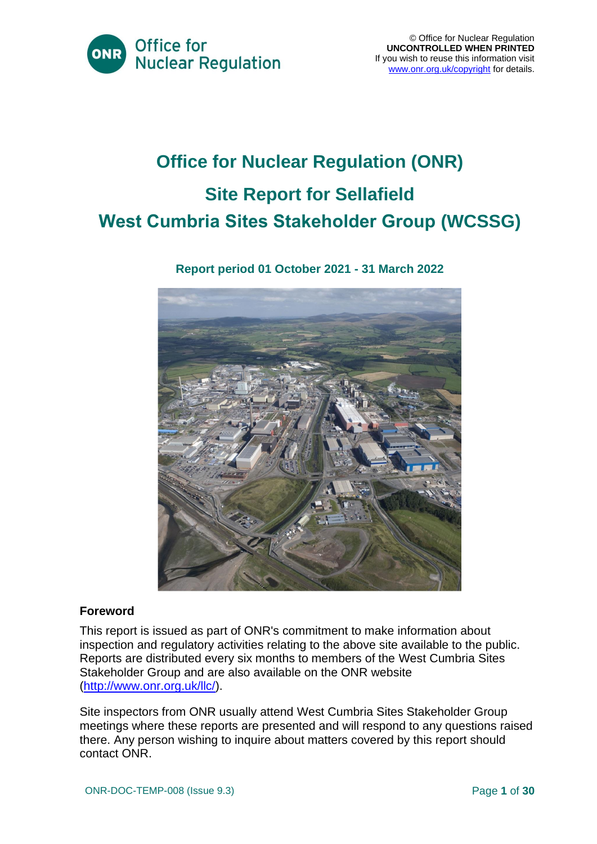

# **Office for Nuclear Regulation (ONR) Site Report for Sellafield West Cumbria Sites Stakeholder Group (WCSSG)**

# **Report period 01 October 2021 - 31 March 2022**



# **Foreword**

This report is issued as part of ONR's commitment to make information about inspection and regulatory activities relating to the above site available to the public. Reports are distributed every six months to members of the West Cumbria Sites Stakeholder Group and are also available on the ONR website [\(http://www.onr.org.uk/llc/\)](http://www.onr.org.uk/llc/).

Site inspectors from ONR usually attend West Cumbria Sites Stakeholder Group meetings where these reports are presented and will respond to any questions raised there. Any person wishing to inquire about matters covered by this report should contact ONR.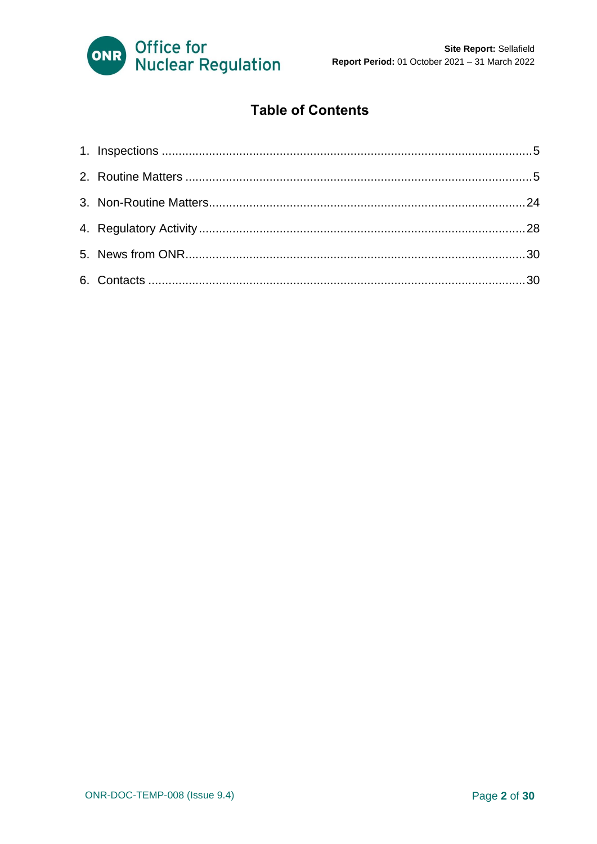

# **Table of Contents**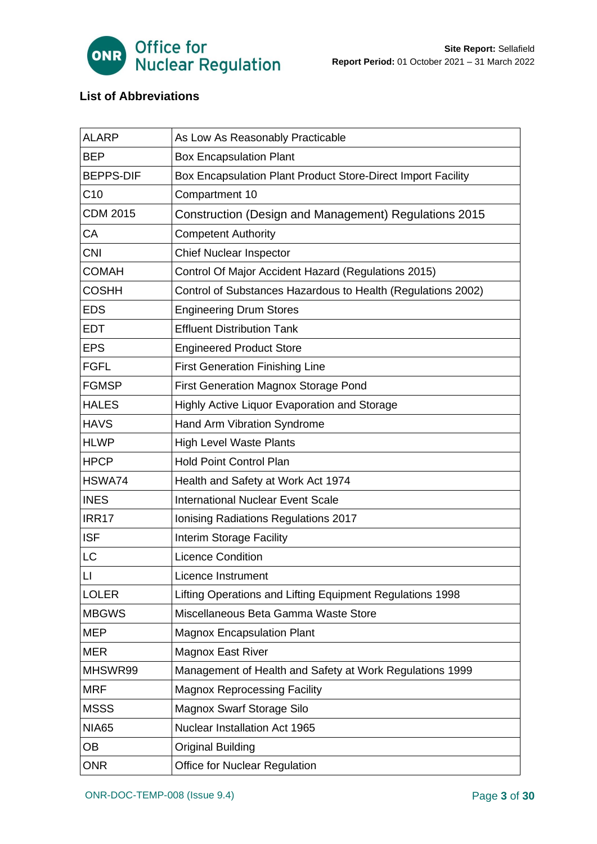

# **List of Abbreviations**

| <b>ALARP</b>                                                                 | As Low As Reasonably Practicable                             |  |  |  |  |
|------------------------------------------------------------------------------|--------------------------------------------------------------|--|--|--|--|
| <b>BEP</b>                                                                   | <b>Box Encapsulation Plant</b>                               |  |  |  |  |
| <b>BEPPS-DIF</b>                                                             | Box Encapsulation Plant Product Store-Direct Import Facility |  |  |  |  |
| C10                                                                          | Compartment 10                                               |  |  |  |  |
| <b>CDM 2015</b>                                                              | Construction (Design and Management) Regulations 2015        |  |  |  |  |
| CA                                                                           | <b>Competent Authority</b>                                   |  |  |  |  |
| <b>CNI</b>                                                                   | <b>Chief Nuclear Inspector</b>                               |  |  |  |  |
| <b>COMAH</b><br>Control Of Major Accident Hazard (Regulations 2015)          |                                                              |  |  |  |  |
| <b>COSHH</b><br>Control of Substances Hazardous to Health (Regulations 2002) |                                                              |  |  |  |  |
| <b>EDS</b>                                                                   | <b>Engineering Drum Stores</b>                               |  |  |  |  |
| <b>EDT</b><br><b>Effluent Distribution Tank</b>                              |                                                              |  |  |  |  |
| <b>EPS</b>                                                                   | <b>Engineered Product Store</b>                              |  |  |  |  |
| <b>FGFL</b>                                                                  | <b>First Generation Finishing Line</b>                       |  |  |  |  |
| <b>FGMSP</b>                                                                 | <b>First Generation Magnox Storage Pond</b>                  |  |  |  |  |
| <b>HALES</b>                                                                 | Highly Active Liquor Evaporation and Storage                 |  |  |  |  |
| <b>HAVS</b>                                                                  | Hand Arm Vibration Syndrome                                  |  |  |  |  |
| <b>HLWP</b>                                                                  | <b>High Level Waste Plants</b>                               |  |  |  |  |
| <b>HPCP</b>                                                                  | <b>Hold Point Control Plan</b>                               |  |  |  |  |
| HSWA74                                                                       | Health and Safety at Work Act 1974                           |  |  |  |  |
| <b>INES</b>                                                                  | <b>International Nuclear Event Scale</b>                     |  |  |  |  |
| IRR17                                                                        | Ionising Radiations Regulations 2017                         |  |  |  |  |
| <b>ISF</b>                                                                   | <b>Interim Storage Facility</b>                              |  |  |  |  |
| LC                                                                           | <b>Licence Condition</b>                                     |  |  |  |  |
| $\mathsf{L}$                                                                 | Licence Instrument                                           |  |  |  |  |
| <b>LOLER</b>                                                                 | Lifting Operations and Lifting Equipment Regulations 1998    |  |  |  |  |
| <b>MBGWS</b>                                                                 | Miscellaneous Beta Gamma Waste Store                         |  |  |  |  |
| <b>MEP</b>                                                                   | <b>Magnox Encapsulation Plant</b>                            |  |  |  |  |
| <b>MER</b><br><b>Magnox East River</b>                                       |                                                              |  |  |  |  |
| MHSWR99                                                                      | Management of Health and Safety at Work Regulations 1999     |  |  |  |  |
| <b>MRF</b><br><b>Magnox Reprocessing Facility</b>                            |                                                              |  |  |  |  |
| <b>MSSS</b>                                                                  | <b>Magnox Swarf Storage Silo</b>                             |  |  |  |  |
| <b>NIA65</b>                                                                 | Nuclear Installation Act 1965                                |  |  |  |  |
| OВ                                                                           | <b>Original Building</b>                                     |  |  |  |  |
| <b>ONR</b>                                                                   | <b>Office for Nuclear Regulation</b>                         |  |  |  |  |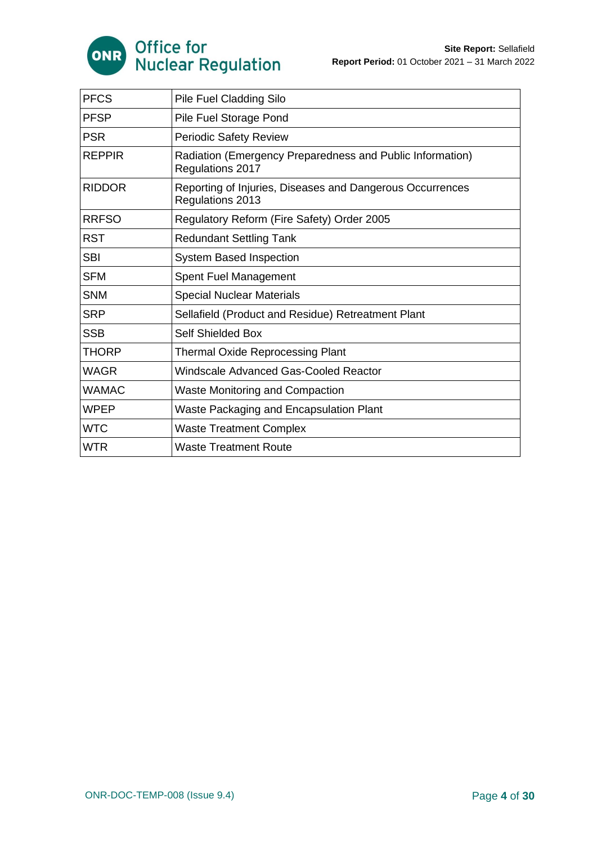

| <b>PFCS</b><br>Pile Fuel Cladding Silo |                                                                               |  |  |
|----------------------------------------|-------------------------------------------------------------------------------|--|--|
| <b>PFSP</b>                            | Pile Fuel Storage Pond                                                        |  |  |
| <b>PSR</b>                             | <b>Periodic Safety Review</b>                                                 |  |  |
| <b>REPPIR</b>                          | Radiation (Emergency Preparedness and Public Information)<br>Regulations 2017 |  |  |
| <b>RIDDOR</b>                          | Reporting of Injuries, Diseases and Dangerous Occurrences<br>Regulations 2013 |  |  |
| <b>RRFSO</b>                           | Regulatory Reform (Fire Safety) Order 2005                                    |  |  |
| <b>RST</b>                             | <b>Redundant Settling Tank</b>                                                |  |  |
| <b>SBI</b>                             | <b>System Based Inspection</b>                                                |  |  |
| <b>SFM</b>                             | Spent Fuel Management                                                         |  |  |
| <b>SNM</b>                             | <b>Special Nuclear Materials</b>                                              |  |  |
| <b>SRP</b>                             | Sellafield (Product and Residue) Retreatment Plant                            |  |  |
| <b>SSB</b>                             | <b>Self Shielded Box</b>                                                      |  |  |
| <b>THORP</b>                           | <b>Thermal Oxide Reprocessing Plant</b>                                       |  |  |
| <b>WAGR</b>                            | Windscale Advanced Gas-Cooled Reactor                                         |  |  |
| <b>WAMAC</b>                           | <b>Waste Monitoring and Compaction</b>                                        |  |  |
| <b>WPEP</b>                            | Waste Packaging and Encapsulation Plant                                       |  |  |
| <b>WTC</b>                             | <b>Waste Treatment Complex</b>                                                |  |  |
| <b>WTR</b>                             | <b>Waste Treatment Route</b>                                                  |  |  |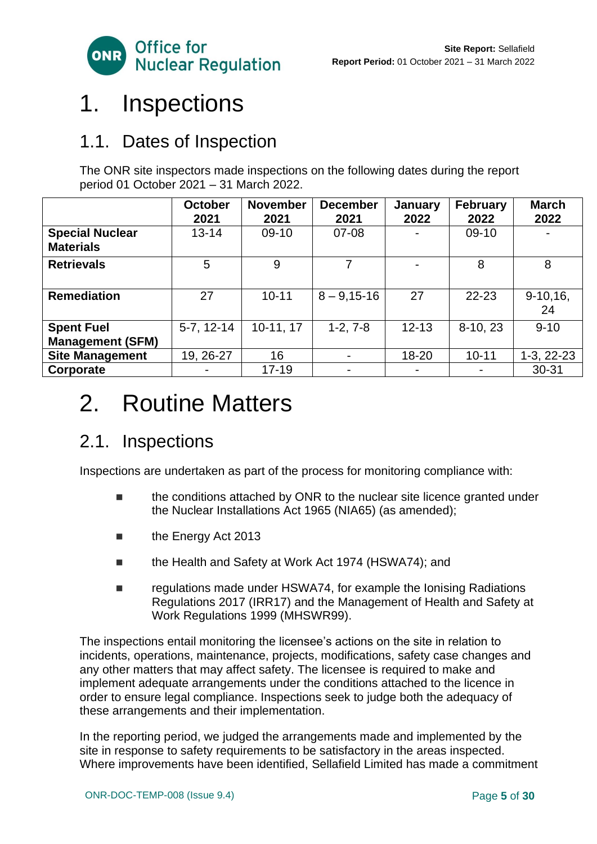

# <span id="page-4-0"></span>1. Inspections

# 1.1. Dates of Inspection

The ONR site inspectors made inspections on the following dates during the report period 01 October 2021 – 31 March 2022.

|                                            | <b>October</b><br>2021 | <b>November</b><br>2021 | <b>December</b><br>2021 | January<br>2022 | <b>February</b><br>2022 | <b>March</b><br>2022 |
|--------------------------------------------|------------------------|-------------------------|-------------------------|-----------------|-------------------------|----------------------|
| <b>Special Nuclear</b><br><b>Materials</b> | $13 - 14$              | $09-10$                 | $07 - 08$               |                 | $09-10$                 |                      |
| <b>Retrievals</b>                          | 5                      | 9                       |                         |                 | 8                       | 8                    |
| <b>Remediation</b>                         | 27                     | $10 - 11$               | $8 - 9,15 - 16$         | 27              | $22 - 23$               | $9-10,16$ ,<br>24    |
| <b>Spent Fuel</b>                          | $5-7, 12-14$           | 10-11, 17               | $1-2, 7-8$              | $12 - 13$       | 8-10, 23                | $9 - 10$             |
| <b>Management (SFM)</b>                    |                        |                         |                         |                 |                         |                      |
| <b>Site Management</b>                     | 19, 26-27              | 16                      | $\blacksquare$          | $18 - 20$       | $10 - 11$               | $1-3, 22-23$         |
| Corporate                                  |                        | $17 - 19$               | ٠                       |                 |                         | $30 - 31$            |

# <span id="page-4-1"></span>2. Routine Matters

# 2.1. Inspections

Inspections are undertaken as part of the process for monitoring compliance with:

- the conditions attached by ONR to the nuclear site licence granted under the Nuclear Installations Act 1965 (NIA65) (as amended);
- the Energy Act 2013
- the Health and Safety at Work Act 1974 (HSWA74); and
- regulations made under HSWA74, for example the Ionising Radiations Regulations 2017 (IRR17) and the Management of Health and Safety at Work Regulations 1999 (MHSWR99).

The inspections entail monitoring the licensee's actions on the site in relation to incidents, operations, maintenance, projects, modifications, safety case changes and any other matters that may affect safety. The licensee is required to make and implement adequate arrangements under the conditions attached to the licence in order to ensure legal compliance. Inspections seek to judge both the adequacy of these arrangements and their implementation.

In the reporting period, we judged the arrangements made and implemented by the site in response to safety requirements to be satisfactory in the areas inspected. Where improvements have been identified, Sellafield Limited has made a commitment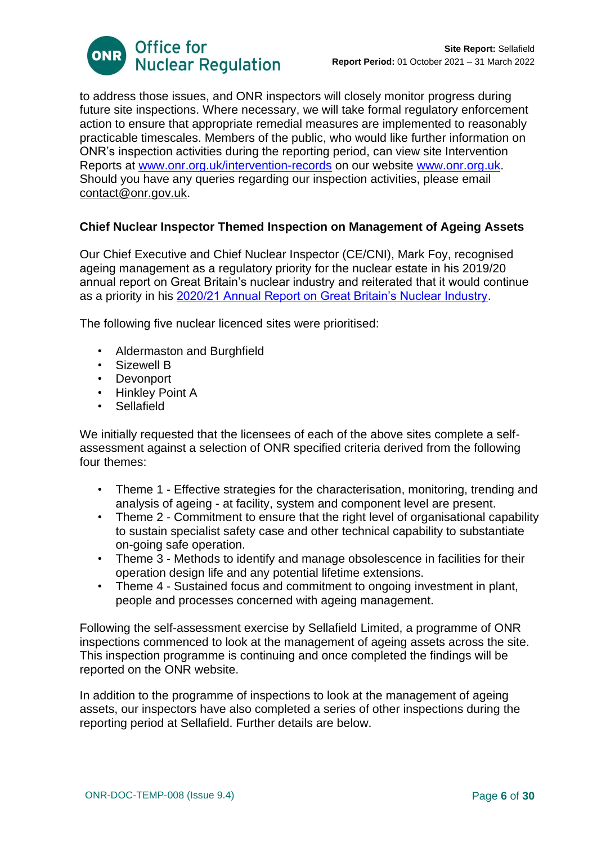

to address those issues, and ONR inspectors will closely monitor progress during future site inspections. Where necessary, we will take formal regulatory enforcement action to ensure that appropriate remedial measures are implemented to reasonably practicable timescales. Members of the public, who would like further information on ONR's inspection activities during the reporting period, can view site Intervention Reports at [www.onr.org.uk/intervention-records](http://www.onr.org.uk/intervention-records) on our website [www.onr.org.uk.](http://www.onr.org.uk/) Should you have any queries regarding our inspection activities, please email [contact@onr.gov.uk.](mailto:contact@onr.gov.uk)

# **Chief Nuclear Inspector Themed Inspection on Management of Ageing Assets**

Our Chief Executive and Chief Nuclear Inspector (CE/CNI), Mark Foy, recognised ageing management as a regulatory priority for the nuclear estate in his 2019/20 annual report on Great Britain's nuclear industry and reiterated that it would continue as a priority in his [2020/21 Annual Report on Great Britain's Nuclear Industry.](https://www.onr.org.uk/documents/2020/cni-annual-report-1920.pdf)

The following five nuclear licenced sites were prioritised:

- Aldermaston and Burghfield
- Sizewell B
- Devonport
- Hinkley Point A
- Sellafield

We initially requested that the licensees of each of the above sites complete a selfassessment against a selection of ONR specified criteria derived from the following four themes:

- Theme 1 Effective strategies for the characterisation, monitoring, trending and analysis of ageing - at facility, system and component level are present.
- Theme 2 Commitment to ensure that the right level of organisational capability to sustain specialist safety case and other technical capability to substantiate on-going safe operation.
- Theme 3 Methods to identify and manage obsolescence in facilities for their operation design life and any potential lifetime extensions.
- Theme 4 Sustained focus and commitment to ongoing investment in plant, people and processes concerned with ageing management.

Following the self-assessment exercise by Sellafield Limited, a programme of ONR inspections commenced to look at the management of ageing assets across the site. This inspection programme is continuing and once completed the findings will be reported on the ONR website.

In addition to the programme of inspections to look at the management of ageing assets, our inspectors have also completed a series of other inspections during the reporting period at Sellafield. Further details are below.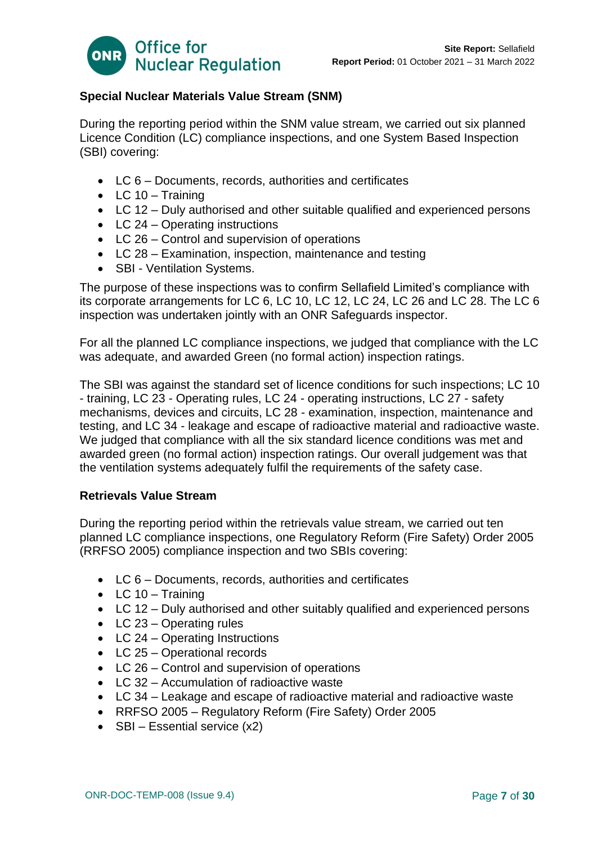

# **Special Nuclear Materials Value Stream (SNM)**

During the reporting period within the SNM value stream, we carried out six planned Licence Condition (LC) compliance inspections, and one System Based Inspection (SBI) covering:

- LC 6 Documents, records, authorities and certificates
- $\bullet$  LC 10 Training
- LC 12 Duly authorised and other suitable qualified and experienced persons
- LC 24 Operating instructions
- LC 26 Control and supervision of operations
- LC 28 Examination, inspection, maintenance and testing
- SBI Ventilation Systems.

The purpose of these inspections was to confirm Sellafield Limited's compliance with its corporate arrangements for LC 6, LC 10, LC 12, LC 24, LC 26 and LC 28. The LC 6 inspection was undertaken jointly with an ONR Safeguards inspector.

For all the planned LC compliance inspections, we judged that compliance with the LC was adequate, and awarded Green (no formal action) inspection ratings.

The SBI was against the standard set of licence conditions for such inspections; LC 10 - training, LC 23 - Operating rules, LC 24 - operating instructions, LC 27 - safety mechanisms, devices and circuits, LC 28 - examination, inspection, maintenance and testing, and LC 34 - leakage and escape of radioactive material and radioactive waste. We judged that compliance with all the six standard licence conditions was met and awarded green (no formal action) inspection ratings. Our overall judgement was that the ventilation systems adequately fulfil the requirements of the safety case.

# **Retrievals Value Stream**

During the reporting period within the retrievals value stream, we carried out ten planned LC compliance inspections, one Regulatory Reform (Fire Safety) Order 2005 (RRFSO 2005) compliance inspection and two SBIs covering:

- LC 6 Documents, records, authorities and certificates
- $\bullet$  LC 10 Training
- LC 12 Duly authorised and other suitably qualified and experienced persons
- LC 23 Operating rules
- LC 24 Operating Instructions
- LC 25 Operational records
- LC 26 Control and supervision of operations
- LC 32 Accumulation of radioactive waste
- LC 34 Leakage and escape of radioactive material and radioactive waste
- RRFSO 2005 Regulatory Reform (Fire Safety) Order 2005
- $SBI Essential service (x2)$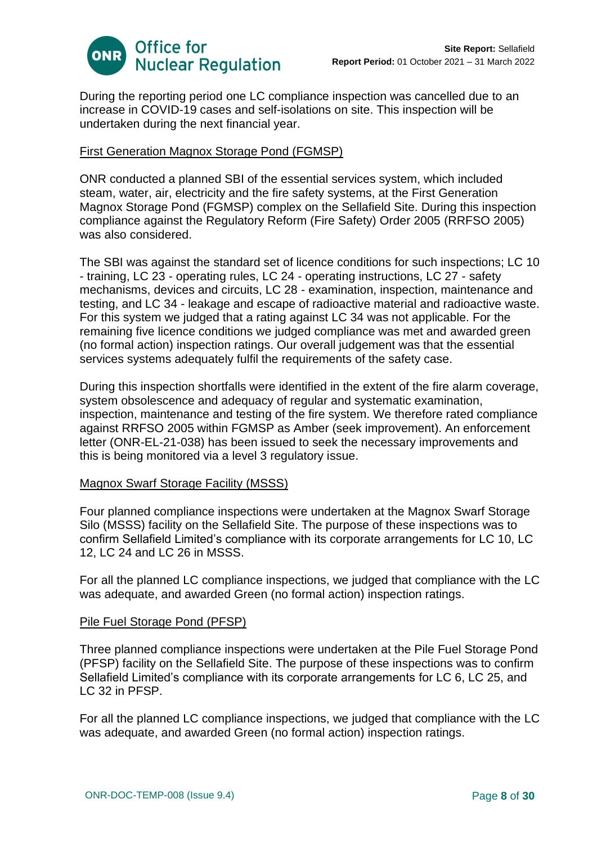

During the reporting period one LC compliance inspection was cancelled due to an increase in COVID-19 cases and self-isolations on site. This inspection will be undertaken during the next financial year.

## First Generation Magnox Storage Pond (FGMSP)

ONR conducted a planned SBI of the essential services system, which included steam, water, air, electricity and the fire safety systems, at the First Generation Magnox Storage Pond (FGMSP) complex on the Sellafield Site. During this inspection compliance against the Regulatory Reform (Fire Safety) Order 2005 (RRFSO 2005) was also considered.

The SBI was against the standard set of licence conditions for such inspections; LC 10 - training, LC 23 - operating rules, LC 24 - operating instructions, LC 27 - safety mechanisms, devices and circuits, LC 28 - examination, inspection, maintenance and testing, and LC 34 - leakage and escape of radioactive material and radioactive waste. For this system we judged that a rating against LC 34 was not applicable. For the remaining five licence conditions we judged compliance was met and awarded green (no formal action) inspection ratings. Our overall judgement was that the essential services systems adequately fulfil the requirements of the safety case.

During this inspection shortfalls were identified in the extent of the fire alarm coverage, system obsolescence and adequacy of regular and systematic examination, inspection, maintenance and testing of the fire system. We therefore rated compliance against RRFSO 2005 within FGMSP as Amber (seek improvement). An enforcement letter (ONR-EL-21-038) has been issued to seek the necessary improvements and this is being monitored via a level 3 regulatory issue.

## Magnox Swarf Storage Facility (MSSS)

Four planned compliance inspections were undertaken at the Magnox Swarf Storage Silo (MSSS) facility on the Sellafield Site. The purpose of these inspections was to confirm Sellafield Limited's compliance with its corporate arrangements for LC 10, LC 12, LC 24 and LC 26 in MSSS.

For all the planned LC compliance inspections, we judged that compliance with the LC was adequate, and awarded Green (no formal action) inspection ratings.

## Pile Fuel Storage Pond (PFSP)

Three planned compliance inspections were undertaken at the Pile Fuel Storage Pond (PFSP) facility on the Sellafield Site. The purpose of these inspections was to confirm Sellafield Limited's compliance with its corporate arrangements for LC 6, LC 25, and LC 32 in PFSP.

For all the planned LC compliance inspections, we judged that compliance with the LC was adequate, and awarded Green (no formal action) inspection ratings.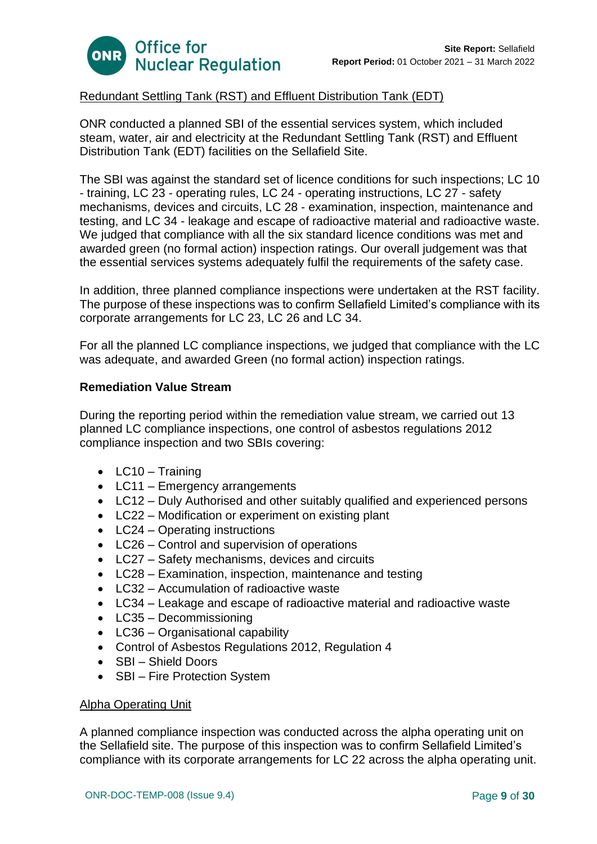

# Redundant Settling Tank (RST) and Effluent Distribution Tank (EDT)

ONR conducted a planned SBI of the essential services system, which included steam, water, air and electricity at the Redundant Settling Tank (RST) and Effluent Distribution Tank (EDT) facilities on the Sellafield Site.

The SBI was against the standard set of licence conditions for such inspections; LC 10 - training, LC 23 - operating rules, LC 24 - operating instructions, LC 27 - safety mechanisms, devices and circuits, LC 28 - examination, inspection, maintenance and testing, and LC 34 - leakage and escape of radioactive material and radioactive waste. We judged that compliance with all the six standard licence conditions was met and awarded green (no formal action) inspection ratings. Our overall judgement was that the essential services systems adequately fulfil the requirements of the safety case.

In addition, three planned compliance inspections were undertaken at the RST facility. The purpose of these inspections was to confirm Sellafield Limited's compliance with its corporate arrangements for LC 23, LC 26 and LC 34.

For all the planned LC compliance inspections, we judged that compliance with the LC was adequate, and awarded Green (no formal action) inspection ratings.

# **Remediation Value Stream**

During the reporting period within the remediation value stream, we carried out 13 planned LC compliance inspections, one control of asbestos regulations 2012 compliance inspection and two SBIs covering:

- LC10 Training
- LC11 Emergency arrangements
- LC12 Duly Authorised and other suitably qualified and experienced persons
- LC22 Modification or experiment on existing plant
- LC24 Operating instructions
- LC26 Control and supervision of operations
- LC27 Safety mechanisms, devices and circuits
- LC28 Examination, inspection, maintenance and testing
- LC32 Accumulation of radioactive waste
- LC34 Leakage and escape of radioactive material and radioactive waste
- LC35 Decommissioning
- LC36 Organisational capability
- Control of Asbestos Regulations 2012, Regulation 4
- SBI Shield Doors
- SBI Fire Protection System

## Alpha Operating Unit

A planned compliance inspection was conducted across the alpha operating unit on the Sellafield site. The purpose of this inspection was to confirm Sellafield Limited's compliance with its corporate arrangements for LC 22 across the alpha operating unit.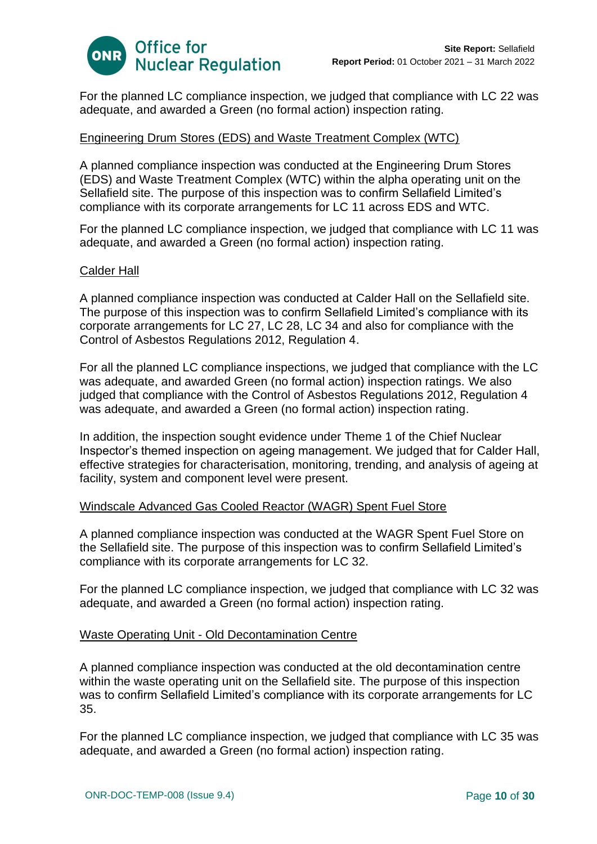

For the planned LC compliance inspection, we judged that compliance with LC 22 was adequate, and awarded a Green (no formal action) inspection rating.

# Engineering Drum Stores (EDS) and Waste Treatment Complex (WTC)

A planned compliance inspection was conducted at the Engineering Drum Stores (EDS) and Waste Treatment Complex (WTC) within the alpha operating unit on the Sellafield site. The purpose of this inspection was to confirm Sellafield Limited's compliance with its corporate arrangements for LC 11 across EDS and WTC.

For the planned LC compliance inspection, we judged that compliance with LC 11 was adequate, and awarded a Green (no formal action) inspection rating.

#### Calder Hall

A planned compliance inspection was conducted at Calder Hall on the Sellafield site. The purpose of this inspection was to confirm Sellafield Limited's compliance with its corporate arrangements for LC 27, LC 28, LC 34 and also for compliance with the Control of Asbestos Regulations 2012, Regulation 4.

For all the planned LC compliance inspections, we judged that compliance with the LC was adequate, and awarded Green (no formal action) inspection ratings. We also judged that compliance with the Control of Asbestos Regulations 2012, Regulation 4 was adequate, and awarded a Green (no formal action) inspection rating.

In addition, the inspection sought evidence under Theme 1 of the Chief Nuclear Inspector's themed inspection on ageing management. We judged that for Calder Hall, effective strategies for characterisation, monitoring, trending, and analysis of ageing at facility, system and component level were present.

## Windscale Advanced Gas Cooled Reactor (WAGR) Spent Fuel Store

A planned compliance inspection was conducted at the WAGR Spent Fuel Store on the Sellafield site. The purpose of this inspection was to confirm Sellafield Limited's compliance with its corporate arrangements for LC 32.

For the planned LC compliance inspection, we judged that compliance with LC 32 was adequate, and awarded a Green (no formal action) inspection rating.

## Waste Operating Unit - Old Decontamination Centre

A planned compliance inspection was conducted at the old decontamination centre within the waste operating unit on the Sellafield site. The purpose of this inspection was to confirm Sellafield Limited's compliance with its corporate arrangements for LC 35.

For the planned LC compliance inspection, we judged that compliance with LC 35 was adequate, and awarded a Green (no formal action) inspection rating.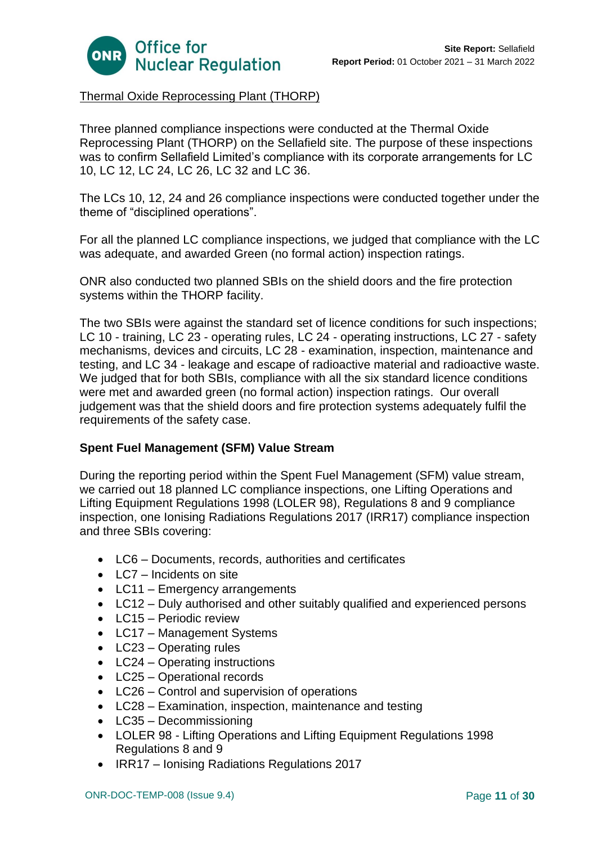

# Thermal Oxide Reprocessing Plant (THORP)

Three planned compliance inspections were conducted at the Thermal Oxide Reprocessing Plant (THORP) on the Sellafield site. The purpose of these inspections was to confirm Sellafield Limited's compliance with its corporate arrangements for LC 10, LC 12, LC 24, LC 26, LC 32 and LC 36.

The LCs 10, 12, 24 and 26 compliance inspections were conducted together under the theme of "disciplined operations".

For all the planned LC compliance inspections, we judged that compliance with the LC was adequate, and awarded Green (no formal action) inspection ratings.

ONR also conducted two planned SBIs on the shield doors and the fire protection systems within the THORP facility.

The two SBIs were against the standard set of licence conditions for such inspections; LC 10 - training, LC 23 - operating rules, LC 24 - operating instructions, LC 27 - safety mechanisms, devices and circuits, LC 28 - examination, inspection, maintenance and testing, and LC 34 - leakage and escape of radioactive material and radioactive waste. We judged that for both SBIs, compliance with all the six standard licence conditions were met and awarded green (no formal action) inspection ratings. Our overall judgement was that the shield doors and fire protection systems adequately fulfil the requirements of the safety case.

# **Spent Fuel Management (SFM) Value Stream**

During the reporting period within the Spent Fuel Management (SFM) value stream, we carried out 18 planned LC compliance inspections, one Lifting Operations and Lifting Equipment Regulations 1998 (LOLER 98), Regulations 8 and 9 compliance inspection, one Ionising Radiations Regulations 2017 (IRR17) compliance inspection and three SBIs covering:

- LC6 Documents, records, authorities and certificates
- LC7 Incidents on site
- LC11 Emergency arrangements
- LC12 Duly authorised and other suitably qualified and experienced persons
- LC15 Periodic review
- LC17 Management Systems
- LC23 Operating rules
- LC24 Operating instructions
- LC25 Operational records
- LC26 Control and supervision of operations
- LC28 Examination, inspection, maintenance and testing
- LC35 Decommissioning
- LOLER 98 Lifting Operations and Lifting Equipment Regulations 1998 Regulations 8 and 9
- IRR17 Ionising Radiations Regulations 2017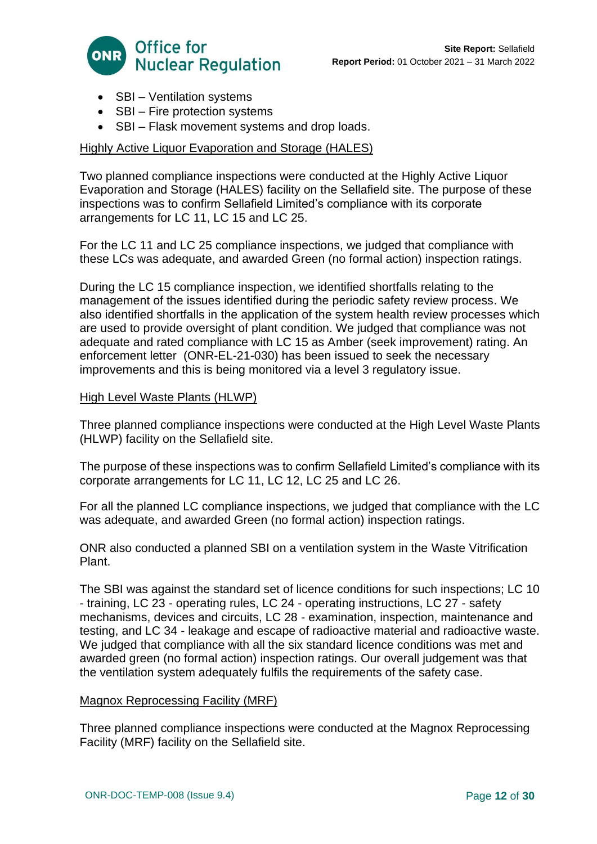

- SBI Ventilation systems
- SBI Fire protection systems
- SBI Flask movement systems and drop loads.

# Highly Active Liquor Evaporation and Storage (HALES)

Two planned compliance inspections were conducted at the Highly Active Liquor Evaporation and Storage (HALES) facility on the Sellafield site. The purpose of these inspections was to confirm Sellafield Limited's compliance with its corporate arrangements for LC 11, LC 15 and LC 25.

For the LC 11 and LC 25 compliance inspections, we judged that compliance with these LCs was adequate, and awarded Green (no formal action) inspection ratings.

During the LC 15 compliance inspection, we identified shortfalls relating to the management of the issues identified during the periodic safety review process. We also identified shortfalls in the application of the system health review processes which are used to provide oversight of plant condition. We judged that compliance was not adequate and rated compliance with LC 15 as Amber (seek improvement) rating. An enforcement letter (ONR-EL-21-030) has been issued to seek the necessary improvements and this is being monitored via a level 3 regulatory issue.

## High Level Waste Plants (HLWP)

Three planned compliance inspections were conducted at the High Level Waste Plants (HLWP) facility on the Sellafield site.

The purpose of these inspections was to confirm Sellafield Limited's compliance with its corporate arrangements for LC 11, LC 12, LC 25 and LC 26.

For all the planned LC compliance inspections, we judged that compliance with the LC was adequate, and awarded Green (no formal action) inspection ratings.

ONR also conducted a planned SBI on a ventilation system in the Waste Vitrification Plant.

The SBI was against the standard set of licence conditions for such inspections; LC 10 - training, LC 23 - operating rules, LC 24 - operating instructions, LC 27 - safety mechanisms, devices and circuits, LC 28 - examination, inspection, maintenance and testing, and LC 34 - leakage and escape of radioactive material and radioactive waste. We judged that compliance with all the six standard licence conditions was met and awarded green (no formal action) inspection ratings. Our overall judgement was that the ventilation system adequately fulfils the requirements of the safety case.

## Magnox Reprocessing Facility (MRF)

Three planned compliance inspections were conducted at the Magnox Reprocessing Facility (MRF) facility on the Sellafield site.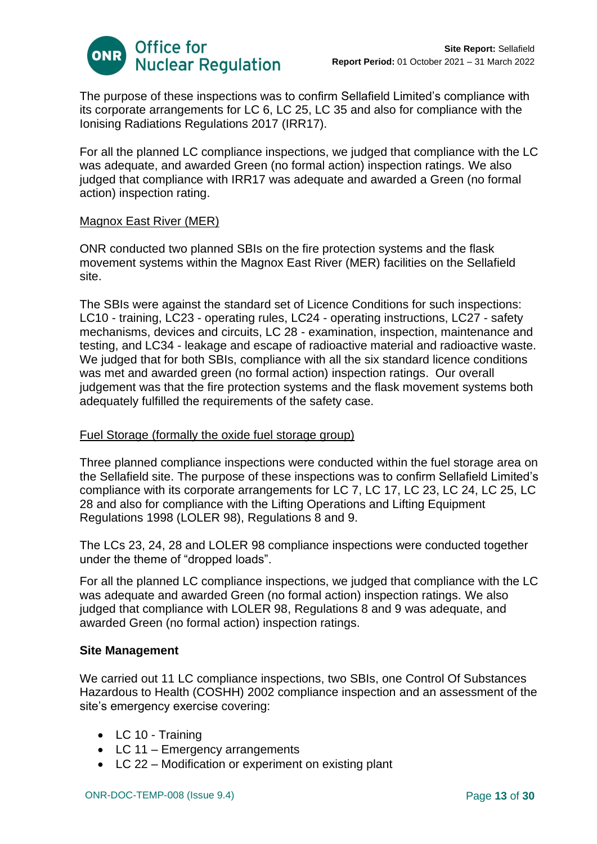

The purpose of these inspections was to confirm Sellafield Limited's compliance with its corporate arrangements for LC 6, LC 25, LC 35 and also for compliance with the Ionising Radiations Regulations 2017 (IRR17).

For all the planned LC compliance inspections, we judged that compliance with the LC was adequate, and awarded Green (no formal action) inspection ratings. We also judged that compliance with IRR17 was adequate and awarded a Green (no formal action) inspection rating.

## Magnox East River (MER)

ONR conducted two planned SBIs on the fire protection systems and the flask movement systems within the Magnox East River (MER) facilities on the Sellafield site.

The SBIs were against the standard set of Licence Conditions for such inspections: LC10 - training, LC23 - operating rules, LC24 - operating instructions, LC27 - safety mechanisms, devices and circuits, LC 28 - examination, inspection, maintenance and testing, and LC34 - leakage and escape of radioactive material and radioactive waste. We judged that for both SBIs, compliance with all the six standard licence conditions was met and awarded green (no formal action) inspection ratings. Our overall judgement was that the fire protection systems and the flask movement systems both adequately fulfilled the requirements of the safety case.

## Fuel Storage (formally the oxide fuel storage group)

Three planned compliance inspections were conducted within the fuel storage area on the Sellafield site. The purpose of these inspections was to confirm Sellafield Limited's compliance with its corporate arrangements for LC 7, LC 17, LC 23, LC 24, LC 25, LC 28 and also for compliance with the Lifting Operations and Lifting Equipment Regulations 1998 (LOLER 98), Regulations 8 and 9.

The LCs 23, 24, 28 and LOLER 98 compliance inspections were conducted together under the theme of "dropped loads".

For all the planned LC compliance inspections, we judged that compliance with the LC was adequate and awarded Green (no formal action) inspection ratings. We also judged that compliance with LOLER 98, Regulations 8 and 9 was adequate, and awarded Green (no formal action) inspection ratings.

## **Site Management**

We carried out 11 LC compliance inspections, two SBIs, one Control Of Substances Hazardous to Health (COSHH) 2002 compliance inspection and an assessment of the site's emergency exercise covering:

- LC 10 Training
- LC 11 Emergency arrangements
- LC 22 Modification or experiment on existing plant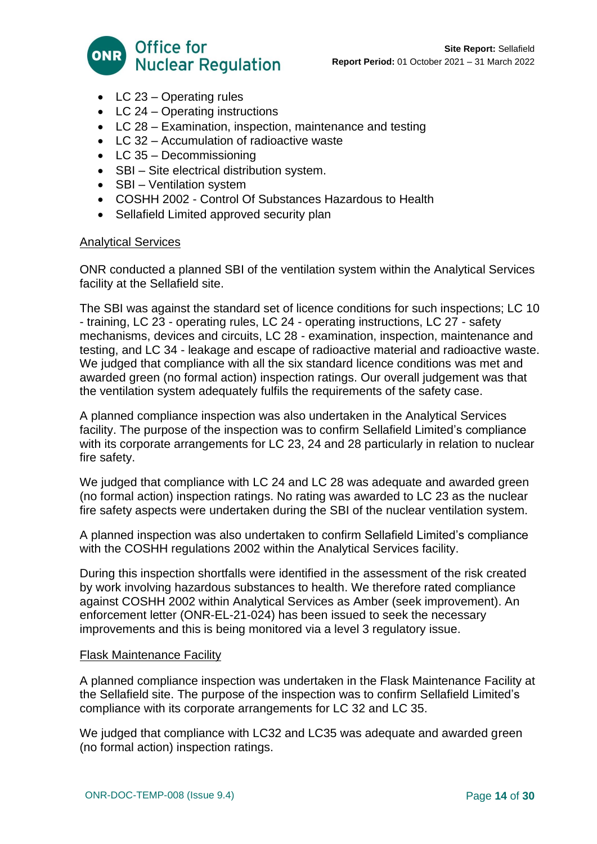

- LC 23 Operating rules
- LC 24 Operating instructions
- LC 28 Examination, inspection, maintenance and testing
- LC 32 Accumulation of radioactive waste
- LC 35 Decommissioning
- SBI Site electrical distribution system.
- SBI Ventilation system
- COSHH 2002 Control Of Substances Hazardous to Health
- Sellafield Limited approved security plan

# Analytical Services

ONR conducted a planned SBI of the ventilation system within the Analytical Services facility at the Sellafield site.

The SBI was against the standard set of licence conditions for such inspections; LC 10 - training, LC 23 - operating rules, LC 24 - operating instructions, LC 27 - safety mechanisms, devices and circuits, LC 28 - examination, inspection, maintenance and testing, and LC 34 - leakage and escape of radioactive material and radioactive waste. We judged that compliance with all the six standard licence conditions was met and awarded green (no formal action) inspection ratings. Our overall judgement was that the ventilation system adequately fulfils the requirements of the safety case.

A planned compliance inspection was also undertaken in the Analytical Services facility. The purpose of the inspection was to confirm Sellafield Limited's compliance with its corporate arrangements for LC 23, 24 and 28 particularly in relation to nuclear fire safety.

We judged that compliance with LC 24 and LC 28 was adequate and awarded green (no formal action) inspection ratings. No rating was awarded to LC 23 as the nuclear fire safety aspects were undertaken during the SBI of the nuclear ventilation system.

A planned inspection was also undertaken to confirm Sellafield Limited's compliance with the COSHH regulations 2002 within the Analytical Services facility.

During this inspection shortfalls were identified in the assessment of the risk created by work involving hazardous substances to health. We therefore rated compliance against COSHH 2002 within Analytical Services as Amber (seek improvement). An enforcement letter (ONR-EL-21-024) has been issued to seek the necessary improvements and this is being monitored via a level 3 regulatory issue.

## Flask Maintenance Facility

A planned compliance inspection was undertaken in the Flask Maintenance Facility at the Sellafield site. The purpose of the inspection was to confirm Sellafield Limited's compliance with its corporate arrangements for LC 32 and LC 35.

We judged that compliance with LC32 and LC35 was adequate and awarded green (no formal action) inspection ratings.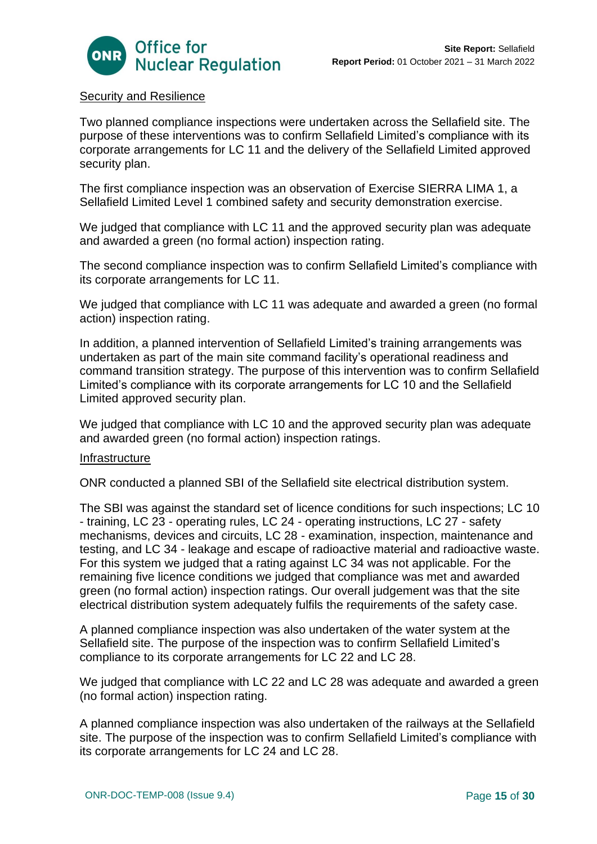

# Security and Resilience

Two planned compliance inspections were undertaken across the Sellafield site. The purpose of these interventions was to confirm Sellafield Limited's compliance with its corporate arrangements for LC 11 and the delivery of the Sellafield Limited approved security plan.

The first compliance inspection was an observation of Exercise SIERRA LIMA 1, a Sellafield Limited Level 1 combined safety and security demonstration exercise.

We judged that compliance with LC 11 and the approved security plan was adequate and awarded a green (no formal action) inspection rating.

The second compliance inspection was to confirm Sellafield Limited's compliance with its corporate arrangements for LC 11.

We judged that compliance with LC 11 was adequate and awarded a green (no formal action) inspection rating.

In addition, a planned intervention of Sellafield Limited's training arrangements was undertaken as part of the main site command facility's operational readiness and command transition strategy. The purpose of this intervention was to confirm Sellafield Limited's compliance with its corporate arrangements for LC 10 and the Sellafield Limited approved security plan.

We judged that compliance with LC 10 and the approved security plan was adequate and awarded green (no formal action) inspection ratings.

#### Infrastructure

ONR conducted a planned SBI of the Sellafield site electrical distribution system.

The SBI was against the standard set of licence conditions for such inspections; LC 10 - training, LC 23 - operating rules, LC 24 - operating instructions, LC 27 - safety mechanisms, devices and circuits, LC 28 - examination, inspection, maintenance and testing, and LC 34 - leakage and escape of radioactive material and radioactive waste. For this system we judged that a rating against LC 34 was not applicable. For the remaining five licence conditions we judged that compliance was met and awarded green (no formal action) inspection ratings. Our overall judgement was that the site electrical distribution system adequately fulfils the requirements of the safety case.

A planned compliance inspection was also undertaken of the water system at the Sellafield site. The purpose of the inspection was to confirm Sellafield Limited's compliance to its corporate arrangements for LC 22 and LC 28.

We judged that compliance with LC 22 and LC 28 was adequate and awarded a green (no formal action) inspection rating.

A planned compliance inspection was also undertaken of the railways at the Sellafield site. The purpose of the inspection was to confirm Sellafield Limited's compliance with its corporate arrangements for LC 24 and LC 28.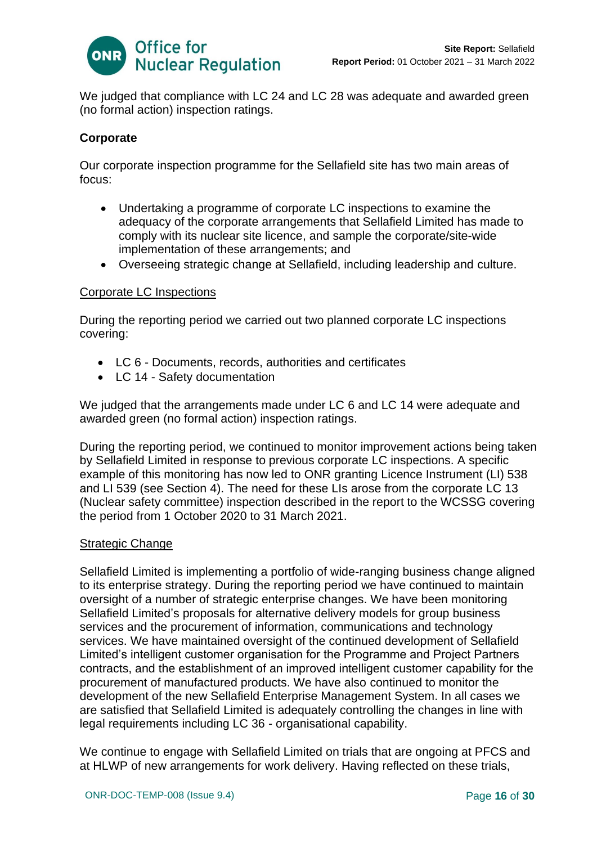

We judged that compliance with LC 24 and LC 28 was adequate and awarded green (no formal action) inspection ratings.

# **Corporate**

Our corporate inspection programme for the Sellafield site has two main areas of focus:

- Undertaking a programme of corporate LC inspections to examine the adequacy of the corporate arrangements that Sellafield Limited has made to comply with its nuclear site licence, and sample the corporate/site-wide implementation of these arrangements; and
- Overseeing strategic change at Sellafield, including leadership and culture.

## Corporate LC Inspections

During the reporting period we carried out two planned corporate LC inspections covering:

- LC 6 Documents, records, authorities and certificates
- LC 14 Safety documentation

We judged that the arrangements made under LC 6 and LC 14 were adequate and awarded green (no formal action) inspection ratings.

During the reporting period, we continued to monitor improvement actions being taken by Sellafield Limited in response to previous corporate LC inspections. A specific example of this monitoring has now led to ONR granting Licence Instrument (LI) 538 and LI 539 (see Section 4). The need for these LIs arose from the corporate LC 13 (Nuclear safety committee) inspection described in the report to the WCSSG covering the period from 1 October 2020 to 31 March 2021.

## Strategic Change

Sellafield Limited is implementing a portfolio of wide-ranging business change aligned to its enterprise strategy. During the reporting period we have continued to maintain oversight of a number of strategic enterprise changes. We have been monitoring Sellafield Limited's proposals for alternative delivery models for group business services and the procurement of information, communications and technology services. We have maintained oversight of the continued development of Sellafield Limited's intelligent customer organisation for the Programme and Project Partners contracts, and the establishment of an improved intelligent customer capability for the procurement of manufactured products. We have also continued to monitor the development of the new Sellafield Enterprise Management System. In all cases we are satisfied that Sellafield Limited is adequately controlling the changes in line with legal requirements including LC 36 - organisational capability.

We continue to engage with Sellafield Limited on trials that are ongoing at PFCS and at HLWP of new arrangements for work delivery. Having reflected on these trials,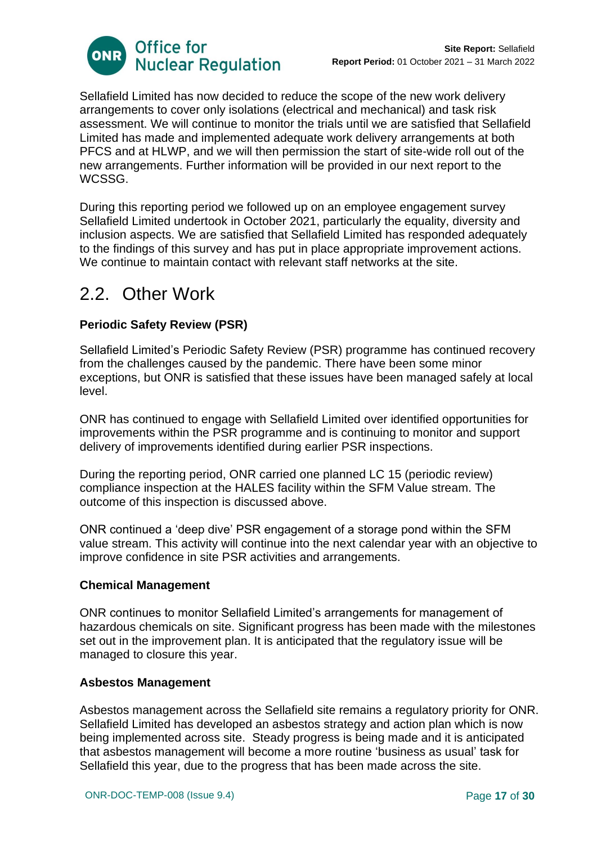

Sellafield Limited has now decided to reduce the scope of the new work delivery arrangements to cover only isolations (electrical and mechanical) and task risk assessment. We will continue to monitor the trials until we are satisfied that Sellafield Limited has made and implemented adequate work delivery arrangements at both PFCS and at HLWP, and we will then permission the start of site-wide roll out of the new arrangements. Further information will be provided in our next report to the WCSSG.

During this reporting period we followed up on an employee engagement survey Sellafield Limited undertook in October 2021, particularly the equality, diversity and inclusion aspects. We are satisfied that Sellafield Limited has responded adequately to the findings of this survey and has put in place appropriate improvement actions. We continue to maintain contact with relevant staff networks at the site.

# 2.2. Other Work

# **Periodic Safety Review (PSR)**

Sellafield Limited's Periodic Safety Review (PSR) programme has continued recovery from the challenges caused by the pandemic. There have been some minor exceptions, but ONR is satisfied that these issues have been managed safely at local level.

ONR has continued to engage with Sellafield Limited over identified opportunities for improvements within the PSR programme and is continuing to monitor and support delivery of improvements identified during earlier PSR inspections.

During the reporting period, ONR carried one planned LC 15 (periodic review) compliance inspection at the HALES facility within the SFM Value stream. The outcome of this inspection is discussed above.

ONR continued a 'deep dive' PSR engagement of a storage pond within the SFM value stream. This activity will continue into the next calendar year with an objective to improve confidence in site PSR activities and arrangements.

## **Chemical Management**

ONR continues to monitor Sellafield Limited's arrangements for management of hazardous chemicals on site. Significant progress has been made with the milestones set out in the improvement plan. It is anticipated that the regulatory issue will be managed to closure this year.

## **Asbestos Management**

Asbestos management across the Sellafield site remains a regulatory priority for ONR. Sellafield Limited has developed an asbestos strategy and action plan which is now being implemented across site. Steady progress is being made and it is anticipated that asbestos management will become a more routine 'business as usual' task for Sellafield this year, due to the progress that has been made across the site.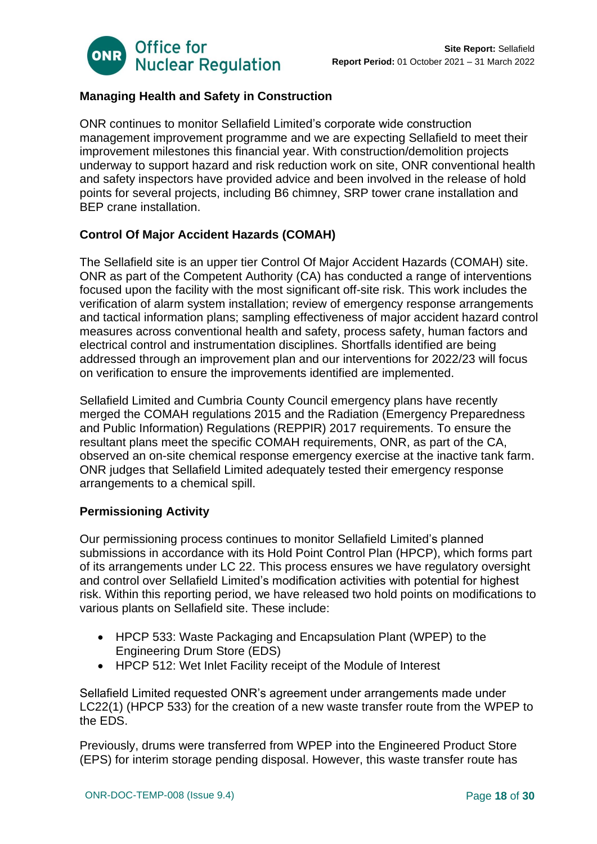

# **Managing Health and Safety in Construction**

ONR continues to monitor Sellafield Limited's corporate wide construction management improvement programme and we are expecting Sellafield to meet their improvement milestones this financial year. With construction/demolition projects underway to support hazard and risk reduction work on site, ONR conventional health and safety inspectors have provided advice and been involved in the release of hold points for several projects, including B6 chimney, SRP tower crane installation and BEP crane installation.

# **Control Of Major Accident Hazards (COMAH)**

The Sellafield site is an upper tier Control Of Major Accident Hazards (COMAH) site. ONR as part of the Competent Authority (CA) has conducted a range of interventions focused upon the facility with the most significant off-site risk. This work includes the verification of alarm system installation; review of emergency response arrangements and tactical information plans; sampling effectiveness of major accident hazard control measures across conventional health and safety, process safety, human factors and electrical control and instrumentation disciplines. Shortfalls identified are being addressed through an improvement plan and our interventions for 2022/23 will focus on verification to ensure the improvements identified are implemented.

Sellafield Limited and Cumbria County Council emergency plans have recently merged the COMAH regulations 2015 and the Radiation (Emergency Preparedness and Public Information) Regulations (REPPIR) 2017 requirements. To ensure the resultant plans meet the specific COMAH requirements, ONR, as part of the CA, observed an on-site chemical response emergency exercise at the inactive tank farm. ONR judges that Sellafield Limited adequately tested their emergency response arrangements to a chemical spill.

## **Permissioning Activity**

Our permissioning process continues to monitor Sellafield Limited's planned submissions in accordance with its Hold Point Control Plan (HPCP), which forms part of its arrangements under LC 22. This process ensures we have regulatory oversight and control over Sellafield Limited's modification activities with potential for highest risk. Within this reporting period, we have released two hold points on modifications to various plants on Sellafield site. These include:

- HPCP 533: Waste Packaging and Encapsulation Plant (WPEP) to the Engineering Drum Store (EDS)
- HPCP 512: Wet Inlet Facility receipt of the Module of Interest

Sellafield Limited requested ONR's agreement under arrangements made under LC22(1) (HPCP 533) for the creation of a new waste transfer route from the WPEP to the EDS.

Previously, drums were transferred from WPEP into the Engineered Product Store (EPS) for interim storage pending disposal. However, this waste transfer route has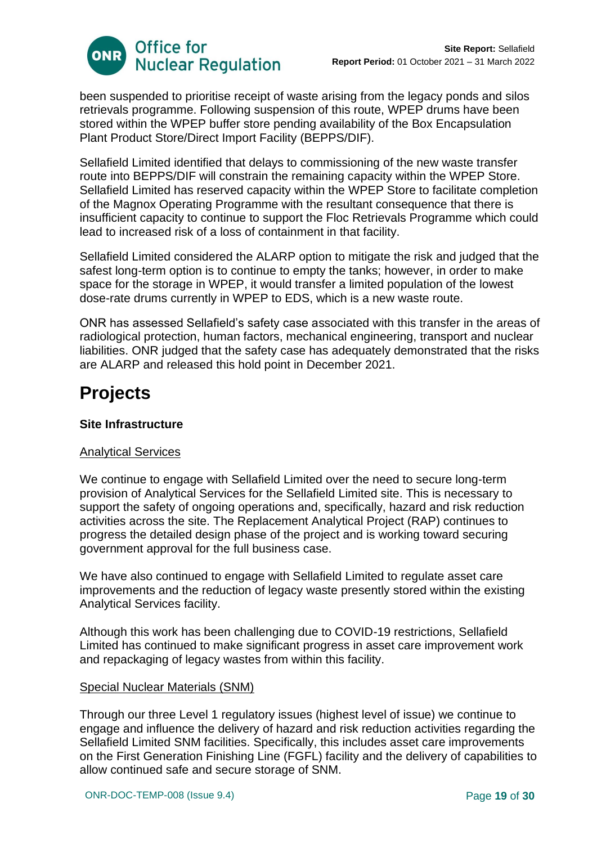

been suspended to prioritise receipt of waste arising from the legacy ponds and silos retrievals programme. Following suspension of this route, WPEP drums have been stored within the WPEP buffer store pending availability of the Box Encapsulation Plant Product Store/Direct Import Facility (BEPPS/DIF).

Sellafield Limited identified that delays to commissioning of the new waste transfer route into BEPPS/DIF will constrain the remaining capacity within the WPEP Store. Sellafield Limited has reserved capacity within the WPEP Store to facilitate completion of the Magnox Operating Programme with the resultant consequence that there is insufficient capacity to continue to support the Floc Retrievals Programme which could lead to increased risk of a loss of containment in that facility.

Sellafield Limited considered the ALARP option to mitigate the risk and judged that the safest long-term option is to continue to empty the tanks; however, in order to make space for the storage in WPEP, it would transfer a limited population of the lowest dose-rate drums currently in WPEP to EDS, which is a new waste route.

ONR has assessed Sellafield's safety case associated with this transfer in the areas of radiological protection, human factors, mechanical engineering, transport and nuclear liabilities. ONR judged that the safety case has adequately demonstrated that the risks are ALARP and released this hold point in December 2021.

# **Projects**

# **Site Infrastructure**

# Analytical Services

We continue to engage with Sellafield Limited over the need to secure long-term provision of Analytical Services for the Sellafield Limited site. This is necessary to support the safety of ongoing operations and, specifically, hazard and risk reduction activities across the site. The Replacement Analytical Project (RAP) continues to progress the detailed design phase of the project and is working toward securing government approval for the full business case.

We have also continued to engage with Sellafield Limited to regulate asset care improvements and the reduction of legacy waste presently stored within the existing Analytical Services facility.

Although this work has been challenging due to COVID-19 restrictions, Sellafield Limited has continued to make significant progress in asset care improvement work and repackaging of legacy wastes from within this facility.

## Special Nuclear Materials (SNM)

Through our three Level 1 regulatory issues (highest level of issue) we continue to engage and influence the delivery of hazard and risk reduction activities regarding the Sellafield Limited SNM facilities. Specifically, this includes asset care improvements on the First Generation Finishing Line (FGFL) facility and the delivery of capabilities to allow continued safe and secure storage of SNM.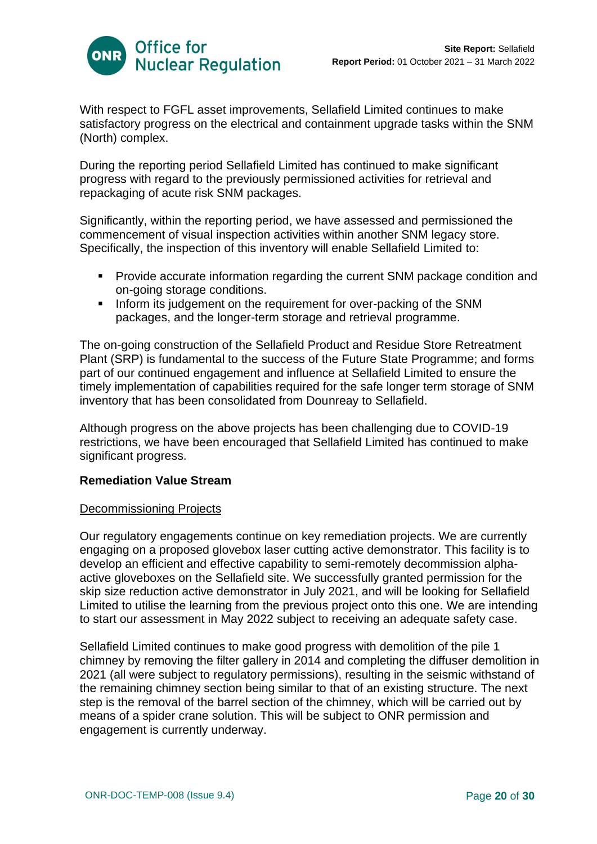

With respect to FGFL asset improvements, Sellafield Limited continues to make satisfactory progress on the electrical and containment upgrade tasks within the SNM (North) complex.

During the reporting period Sellafield Limited has continued to make significant progress with regard to the previously permissioned activities for retrieval and repackaging of acute risk SNM packages.

Significantly, within the reporting period, we have assessed and permissioned the commencement of visual inspection activities within another SNM legacy store. Specifically, the inspection of this inventory will enable Sellafield Limited to:

- Provide accurate information regarding the current SNM package condition and on-going storage conditions.
- **.** Inform its judgement on the requirement for over-packing of the SNM packages, and the longer-term storage and retrieval programme.

The on-going construction of the Sellafield Product and Residue Store Retreatment Plant (SRP) is fundamental to the success of the Future State Programme; and forms part of our continued engagement and influence at Sellafield Limited to ensure the timely implementation of capabilities required for the safe longer term storage of SNM inventory that has been consolidated from Dounreay to Sellafield.

Although progress on the above projects has been challenging due to COVID-19 restrictions, we have been encouraged that Sellafield Limited has continued to make significant progress.

## **Remediation Value Stream**

## Decommissioning Projects

Our regulatory engagements continue on key remediation projects. We are currently engaging on a proposed glovebox laser cutting active demonstrator. This facility is to develop an efficient and effective capability to semi-remotely decommission alphaactive gloveboxes on the Sellafield site. We successfully granted permission for the skip size reduction active demonstrator in July 2021, and will be looking for Sellafield Limited to utilise the learning from the previous project onto this one. We are intending to start our assessment in May 2022 subject to receiving an adequate safety case.

Sellafield Limited continues to make good progress with demolition of the pile 1 chimney by removing the filter gallery in 2014 and completing the diffuser demolition in 2021 (all were subject to regulatory permissions), resulting in the seismic withstand of the remaining chimney section being similar to that of an existing structure. The next step is the removal of the barrel section of the chimney, which will be carried out by means of a spider crane solution. This will be subject to ONR permission and engagement is currently underway.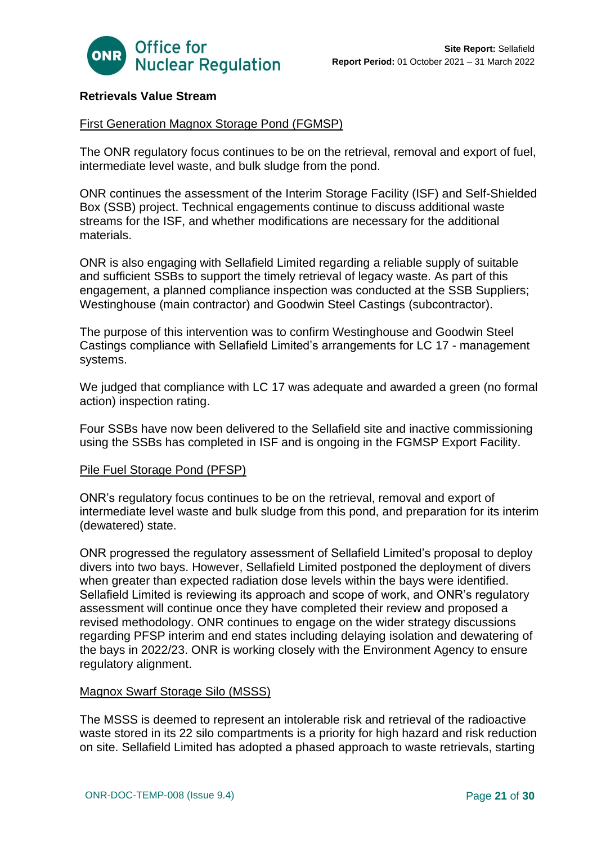

# **Retrievals Value Stream**

#### First Generation Magnox Storage Pond (FGMSP)

The ONR regulatory focus continues to be on the retrieval, removal and export of fuel, intermediate level waste, and bulk sludge from the pond.

ONR continues the assessment of the Interim Storage Facility (ISF) and Self-Shielded Box (SSB) project. Technical engagements continue to discuss additional waste streams for the ISF, and whether modifications are necessary for the additional materials.

ONR is also engaging with Sellafield Limited regarding a reliable supply of suitable and sufficient SSBs to support the timely retrieval of legacy waste. As part of this engagement, a planned compliance inspection was conducted at the SSB Suppliers; Westinghouse (main contractor) and Goodwin Steel Castings (subcontractor).

The purpose of this intervention was to confirm Westinghouse and Goodwin Steel Castings compliance with Sellafield Limited's arrangements for LC 17 - management systems.

We judged that compliance with LC 17 was adequate and awarded a green (no formal action) inspection rating.

Four SSBs have now been delivered to the Sellafield site and inactive commissioning using the SSBs has completed in ISF and is ongoing in the FGMSP Export Facility.

#### Pile Fuel Storage Pond (PFSP)

ONR's regulatory focus continues to be on the retrieval, removal and export of intermediate level waste and bulk sludge from this pond, and preparation for its interim (dewatered) state.

ONR progressed the regulatory assessment of Sellafield Limited's proposal to deploy divers into two bays. However, Sellafield Limited postponed the deployment of divers when greater than expected radiation dose levels within the bays were identified. Sellafield Limited is reviewing its approach and scope of work, and ONR's regulatory assessment will continue once they have completed their review and proposed a revised methodology. ONR continues to engage on the wider strategy discussions regarding PFSP interim and end states including delaying isolation and dewatering of the bays in 2022/23. ONR is working closely with the Environment Agency to ensure regulatory alignment.

#### Magnox Swarf Storage Silo (MSSS)

The MSSS is deemed to represent an intolerable risk and retrieval of the radioactive waste stored in its 22 silo compartments is a priority for high hazard and risk reduction on site. Sellafield Limited has adopted a phased approach to waste retrievals, starting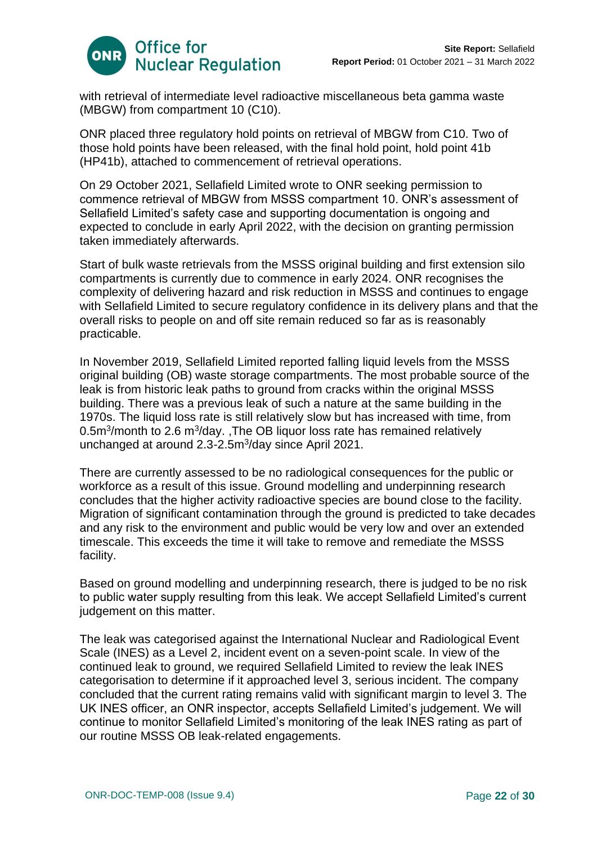

with retrieval of intermediate level radioactive miscellaneous beta gamma waste (MBGW) from compartment 10 (C10).

ONR placed three regulatory hold points on retrieval of MBGW from C10. Two of those hold points have been released, with the final hold point, hold point 41b (HP41b), attached to commencement of retrieval operations.

On 29 October 2021, Sellafield Limited wrote to ONR seeking permission to commence retrieval of MBGW from MSSS compartment 10. ONR's assessment of Sellafield Limited's safety case and supporting documentation is ongoing and expected to conclude in early April 2022, with the decision on granting permission taken immediately afterwards.

Start of bulk waste retrievals from the MSSS original building and first extension silo compartments is currently due to commence in early 2024. ONR recognises the complexity of delivering hazard and risk reduction in MSSS and continues to engage with Sellafield Limited to secure regulatory confidence in its delivery plans and that the overall risks to people on and off site remain reduced so far as is reasonably practicable.

In November 2019, Sellafield Limited reported falling liquid levels from the MSSS original building (OB) waste storage compartments. The most probable source of the leak is from historic leak paths to ground from cracks within the original MSSS building. There was a previous leak of such a nature at the same building in the 1970s. The liquid loss rate is still relatively slow but has increased with time, from 0.5 $\mathrm{m}^3$ /month to 2.6  $\mathrm{m}^3$ /day., The OB liquor loss rate has remained relatively unchanged at around 2.3-2.5m<sup>3</sup>/day since April 2021.

There are currently assessed to be no radiological consequences for the public or workforce as a result of this issue. Ground modelling and underpinning research concludes that the higher activity radioactive species are bound close to the facility. Migration of significant contamination through the ground is predicted to take decades and any risk to the environment and public would be very low and over an extended timescale. This exceeds the time it will take to remove and remediate the MSSS facility.

Based on ground modelling and underpinning research, there is judged to be no risk to public water supply resulting from this leak. We accept Sellafield Limited's current judgement on this matter.

The leak was categorised against the International Nuclear and Radiological Event Scale (INES) as a Level 2, incident event on a seven-point scale. In view of the continued leak to ground, we required Sellafield Limited to review the leak INES categorisation to determine if it approached level 3, serious incident. The company concluded that the current rating remains valid with significant margin to level 3. The UK INES officer, an ONR inspector, accepts Sellafield Limited's judgement. We will continue to monitor Sellafield Limited's monitoring of the leak INES rating as part of our routine MSSS OB leak-related engagements.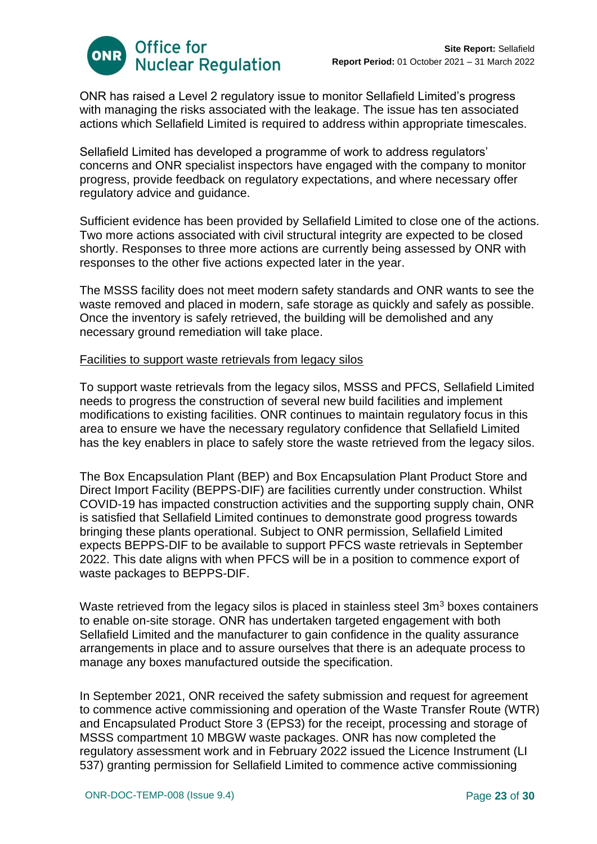

ONR has raised a Level 2 regulatory issue to monitor Sellafield Limited's progress with managing the risks associated with the leakage. The issue has ten associated actions which Sellafield Limited is required to address within appropriate timescales.

Sellafield Limited has developed a programme of work to address regulators' concerns and ONR specialist inspectors have engaged with the company to monitor progress, provide feedback on regulatory expectations, and where necessary offer regulatory advice and guidance.

Sufficient evidence has been provided by Sellafield Limited to close one of the actions. Two more actions associated with civil structural integrity are expected to be closed shortly. Responses to three more actions are currently being assessed by ONR with responses to the other five actions expected later in the year.

The MSSS facility does not meet modern safety standards and ONR wants to see the waste removed and placed in modern, safe storage as quickly and safely as possible. Once the inventory is safely retrieved, the building will be demolished and any necessary ground remediation will take place.

## Facilities to support waste retrievals from legacy silos

To support waste retrievals from the legacy silos, MSSS and PFCS, Sellafield Limited needs to progress the construction of several new build facilities and implement modifications to existing facilities. ONR continues to maintain regulatory focus in this area to ensure we have the necessary regulatory confidence that Sellafield Limited has the key enablers in place to safely store the waste retrieved from the legacy silos.

The Box Encapsulation Plant (BEP) and Box Encapsulation Plant Product Store and Direct Import Facility (BEPPS-DIF) are facilities currently under construction. Whilst COVID-19 has impacted construction activities and the supporting supply chain, ONR is satisfied that Sellafield Limited continues to demonstrate good progress towards bringing these plants operational. Subject to ONR permission, Sellafield Limited expects BEPPS-DIF to be available to support PFCS waste retrievals in September 2022. This date aligns with when PFCS will be in a position to commence export of waste packages to BEPPS-DIF.

Waste retrieved from the legacy silos is placed in stainless steel  $3m<sup>3</sup>$  boxes containers to enable on-site storage. ONR has undertaken targeted engagement with both Sellafield Limited and the manufacturer to gain confidence in the quality assurance arrangements in place and to assure ourselves that there is an adequate process to manage any boxes manufactured outside the specification.

In September 2021, ONR received the safety submission and request for agreement to commence active commissioning and operation of the Waste Transfer Route (WTR) and Encapsulated Product Store 3 (EPS3) for the receipt, processing and storage of MSSS compartment 10 MBGW waste packages. ONR has now completed the regulatory assessment work and in February 2022 issued the Licence Instrument (LI 537) granting permission for Sellafield Limited to commence active commissioning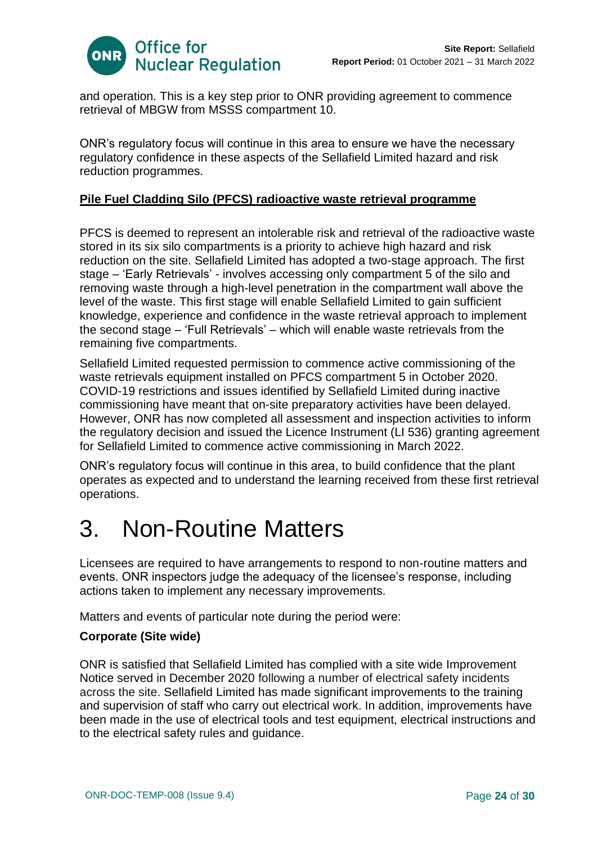

and operation. This is a key step prior to ONR providing agreement to commence retrieval of MBGW from MSSS compartment 10.

ONR's regulatory focus will continue in this area to ensure we have the necessary regulatory confidence in these aspects of the Sellafield Limited hazard and risk reduction programmes.

# **Pile Fuel Cladding Silo (PFCS) radioactive waste retrieval programme**

PFCS is deemed to represent an intolerable risk and retrieval of the radioactive waste stored in its six silo compartments is a priority to achieve high hazard and risk reduction on the site. Sellafield Limited has adopted a two-stage approach. The first stage – 'Early Retrievals' - involves accessing only compartment 5 of the silo and removing waste through a high-level penetration in the compartment wall above the level of the waste. This first stage will enable Sellafield Limited to gain sufficient knowledge, experience and confidence in the waste retrieval approach to implement the second stage – 'Full Retrievals' – which will enable waste retrievals from the remaining five compartments.

Sellafield Limited requested permission to commence active commissioning of the waste retrievals equipment installed on PFCS compartment 5 in October 2020. COVID-19 restrictions and issues identified by Sellafield Limited during inactive commissioning have meant that on-site preparatory activities have been delayed. However, ONR has now completed all assessment and inspection activities to inform the regulatory decision and issued the Licence Instrument (LI 536) granting agreement for Sellafield Limited to commence active commissioning in March 2022.

ONR's regulatory focus will continue in this area, to build confidence that the plant operates as expected and to understand the learning received from these first retrieval operations.

# <span id="page-23-0"></span>3. Non-Routine Matters

Licensees are required to have arrangements to respond to non-routine matters and events. ONR inspectors judge the adequacy of the licensee's response, including actions taken to implement any necessary improvements.

Matters and events of particular note during the period were:

## **Corporate (Site wide)**

ONR is satisfied that Sellafield Limited has complied with a site wide Improvement Notice served in December 2020 following a number of electrical safety incidents across the site. Sellafield Limited has made significant improvements to the training and supervision of staff who carry out electrical work. In addition, improvements have been made in the use of electrical tools and test equipment, electrical instructions and to the electrical safety rules and guidance.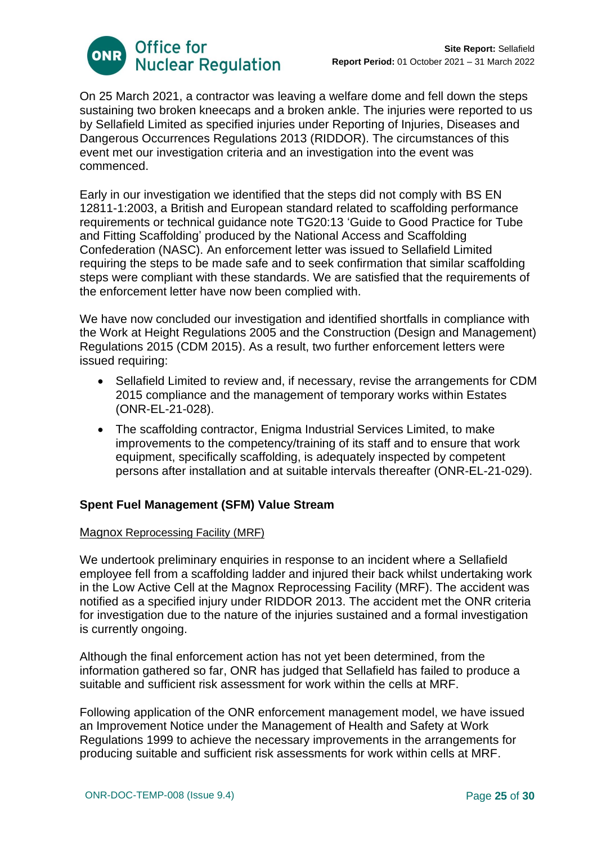

On 25 March 2021, a contractor was leaving a welfare dome and fell down the steps sustaining two broken kneecaps and a broken ankle. The injuries were reported to us by Sellafield Limited as specified injuries under Reporting of Injuries, Diseases and Dangerous Occurrences Regulations 2013 (RIDDOR). The circumstances of this event met our investigation criteria and an investigation into the event was commenced.

Early in our investigation we identified that the steps did not comply with BS EN 12811-1:2003, a British and European standard related to scaffolding performance requirements or technical guidance note TG20:13 'Guide to Good Practice for Tube and Fitting Scaffolding' produced by the National Access and Scaffolding Confederation (NASC). An enforcement letter was issued to Sellafield Limited requiring the steps to be made safe and to seek confirmation that similar scaffolding steps were compliant with these standards. We are satisfied that the requirements of the enforcement letter have now been complied with.

We have now concluded our investigation and identified shortfalls in compliance with the Work at Height Regulations 2005 and the Construction (Design and Management) Regulations 2015 (CDM 2015). As a result, two further enforcement letters were issued requiring:

- Sellafield Limited to review and, if necessary, revise the arrangements for CDM 2015 compliance and the management of temporary works within Estates (ONR-EL-21-028).
- The scaffolding contractor, Enigma Industrial Services Limited, to make improvements to the competency/training of its staff and to ensure that work equipment, specifically scaffolding, is adequately inspected by competent persons after installation and at suitable intervals thereafter (ONR-EL-21-029).

# **Spent Fuel Management (SFM) Value Stream**

## Magnox Reprocessing Facility (MRF)

We undertook preliminary enquiries in response to an incident where a Sellafield employee fell from a scaffolding ladder and injured their back whilst undertaking work in the Low Active Cell at the Magnox Reprocessing Facility (MRF). The accident was notified as a specified injury under RIDDOR 2013. The accident met the ONR criteria for investigation due to the nature of the injuries sustained and a formal investigation is currently ongoing.

Although the final enforcement action has not yet been determined, from the information gathered so far, ONR has judged that Sellafield has failed to produce a suitable and sufficient risk assessment for work within the cells at MRF.

Following application of the ONR enforcement management model, we have issued an Improvement Notice under the Management of Health and Safety at Work Regulations 1999 to achieve the necessary improvements in the arrangements for producing suitable and sufficient risk assessments for work within cells at MRF.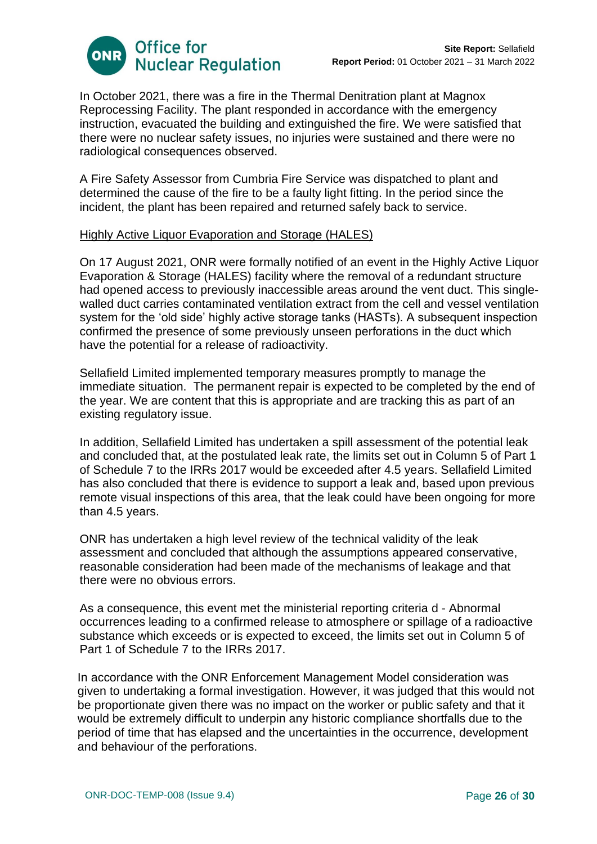

In October 2021, there was a fire in the Thermal Denitration plant at Magnox Reprocessing Facility. The plant responded in accordance with the emergency instruction, evacuated the building and extinguished the fire. We were satisfied that there were no nuclear safety issues, no injuries were sustained and there were no radiological consequences observed.

A Fire Safety Assessor from Cumbria Fire Service was dispatched to plant and determined the cause of the fire to be a faulty light fitting. In the period since the incident, the plant has been repaired and returned safely back to service.

#### Highly Active Liquor Evaporation and Storage (HALES)

On 17 August 2021, ONR were formally notified of an event in the Highly Active Liquor Evaporation & Storage (HALES) facility where the removal of a redundant structure had opened access to previously inaccessible areas around the vent duct. This singlewalled duct carries contaminated ventilation extract from the cell and vessel ventilation system for the 'old side' highly active storage tanks (HASTs). A subsequent inspection confirmed the presence of some previously unseen perforations in the duct which have the potential for a release of radioactivity.

Sellafield Limited implemented temporary measures promptly to manage the immediate situation. The permanent repair is expected to be completed by the end of the year. We are content that this is appropriate and are tracking this as part of an existing regulatory issue.

In addition, Sellafield Limited has undertaken a spill assessment of the potential leak and concluded that, at the postulated leak rate, the limits set out in Column 5 of Part 1 of Schedule 7 to the IRRs 2017 would be exceeded after 4.5 years. Sellafield Limited has also concluded that there is evidence to support a leak and, based upon previous remote visual inspections of this area, that the leak could have been ongoing for more than 4.5 years.

ONR has undertaken a high level review of the technical validity of the leak assessment and concluded that although the assumptions appeared conservative, reasonable consideration had been made of the mechanisms of leakage and that there were no obvious errors.

As a consequence, this event met the ministerial reporting criteria d - Abnormal occurrences leading to a confirmed release to atmosphere or spillage of a radioactive substance which exceeds or is expected to exceed, the limits set out in Column 5 of Part 1 of Schedule 7 to the IRRs 2017.

In accordance with the ONR Enforcement Management Model consideration was given to undertaking a formal investigation. However, it was judged that this would not be proportionate given there was no impact on the worker or public safety and that it would be extremely difficult to underpin any historic compliance shortfalls due to the period of time that has elapsed and the uncertainties in the occurrence, development and behaviour of the perforations.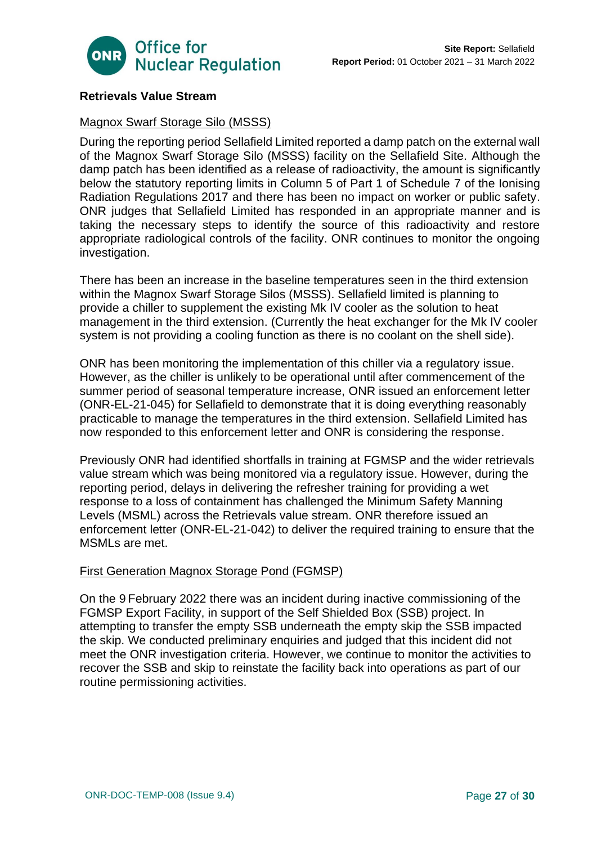

# **Retrievals Value Stream**

# Magnox Swarf Storage Silo (MSSS)

During the reporting period Sellafield Limited reported a damp patch on the external wall of the Magnox Swarf Storage Silo (MSSS) facility on the Sellafield Site. Although the damp patch has been identified as a release of radioactivity, the amount is significantly below the statutory reporting limits in Column 5 of Part 1 of Schedule 7 of the Ionising Radiation Regulations 2017 and there has been no impact on worker or public safety. ONR judges that Sellafield Limited has responded in an appropriate manner and is taking the necessary steps to identify the source of this radioactivity and restore appropriate radiological controls of the facility. ONR continues to monitor the ongoing investigation.

There has been an increase in the baseline temperatures seen in the third extension within the Magnox Swarf Storage Silos (MSSS). Sellafield limited is planning to provide a chiller to supplement the existing Mk IV cooler as the solution to heat management in the third extension. (Currently the heat exchanger for the Mk IV cooler system is not providing a cooling function as there is no coolant on the shell side).

ONR has been monitoring the implementation of this chiller via a regulatory issue. However, as the chiller is unlikely to be operational until after commencement of the summer period of seasonal temperature increase, ONR issued an enforcement letter (ONR-EL-21-045) for Sellafield to demonstrate that it is doing everything reasonably practicable to manage the temperatures in the third extension. Sellafield Limited has now responded to this enforcement letter and ONR is considering the response.

Previously ONR had identified shortfalls in training at FGMSP and the wider retrievals value stream which was being monitored via a regulatory issue. However, during the reporting period, delays in delivering the refresher training for providing a wet response to a loss of containment has challenged the Minimum Safety Manning Levels (MSML) across the Retrievals value stream. ONR therefore issued an enforcement letter (ONR-EL-21-042) to deliver the required training to ensure that the MSMLs are met.

## First Generation Magnox Storage Pond (FGMSP)

On the 9 February 2022 there was an incident during inactive commissioning of the FGMSP Export Facility, in support of the Self Shielded Box (SSB) project. In attempting to transfer the empty SSB underneath the empty skip the SSB impacted the skip. We conducted preliminary enquiries and judged that this incident did not meet the ONR investigation criteria. However, we continue to monitor the activities to recover the SSB and skip to reinstate the facility back into operations as part of our routine permissioning activities.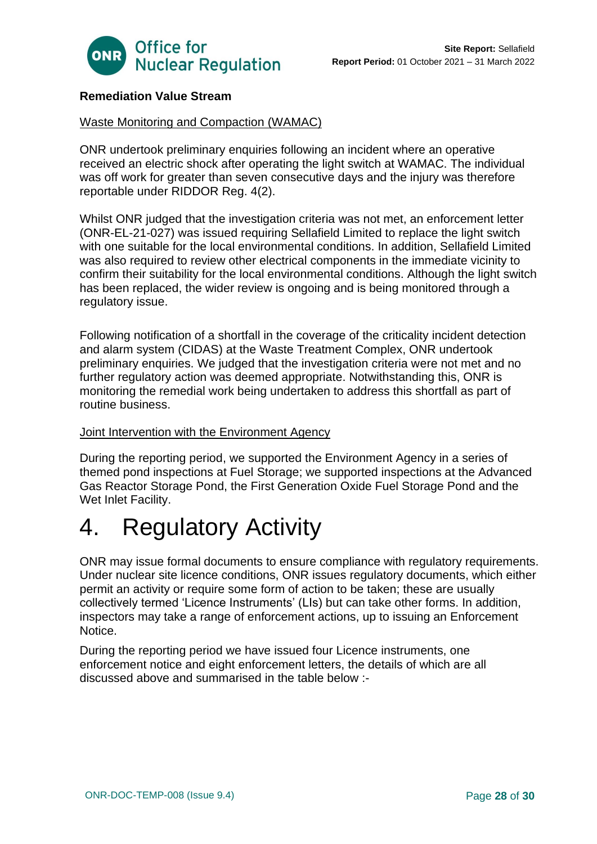

# **Remediation Value Stream**

## Waste Monitoring and Compaction (WAMAC)

ONR undertook preliminary enquiries following an incident where an operative received an electric shock after operating the light switch at WAMAC. The individual was off work for greater than seven consecutive days and the injury was therefore reportable under RIDDOR Reg. 4(2).

Whilst ONR judged that the investigation criteria was not met, an enforcement letter (ONR-EL-21-027) was issued requiring Sellafield Limited to replace the light switch with one suitable for the local environmental conditions. In addition, Sellafield Limited was also required to review other electrical components in the immediate vicinity to confirm their suitability for the local environmental conditions. Although the light switch has been replaced, the wider review is ongoing and is being monitored through a regulatory issue.

Following notification of a shortfall in the coverage of the criticality incident detection and alarm system (CIDAS) at the Waste Treatment Complex, ONR undertook preliminary enquiries. We judged that the investigation criteria were not met and no further regulatory action was deemed appropriate. Notwithstanding this, ONR is monitoring the remedial work being undertaken to address this shortfall as part of routine business.

#### Joint Intervention with the Environment Agency

During the reporting period, we supported the Environment Agency in a series of themed pond inspections at Fuel Storage; we supported inspections at the Advanced Gas Reactor Storage Pond, the First Generation Oxide Fuel Storage Pond and the Wet Inlet Facility.

# <span id="page-27-0"></span>4. Regulatory Activity

ONR may issue formal documents to ensure compliance with regulatory requirements. Under nuclear site licence conditions, ONR issues regulatory documents, which either permit an activity or require some form of action to be taken; these are usually collectively termed 'Licence Instruments' (LIs) but can take other forms. In addition, inspectors may take a range of enforcement actions, up to issuing an Enforcement Notice.

During the reporting period we have issued four Licence instruments, one enforcement notice and eight enforcement letters, the details of which are all discussed above and summarised in the table below :-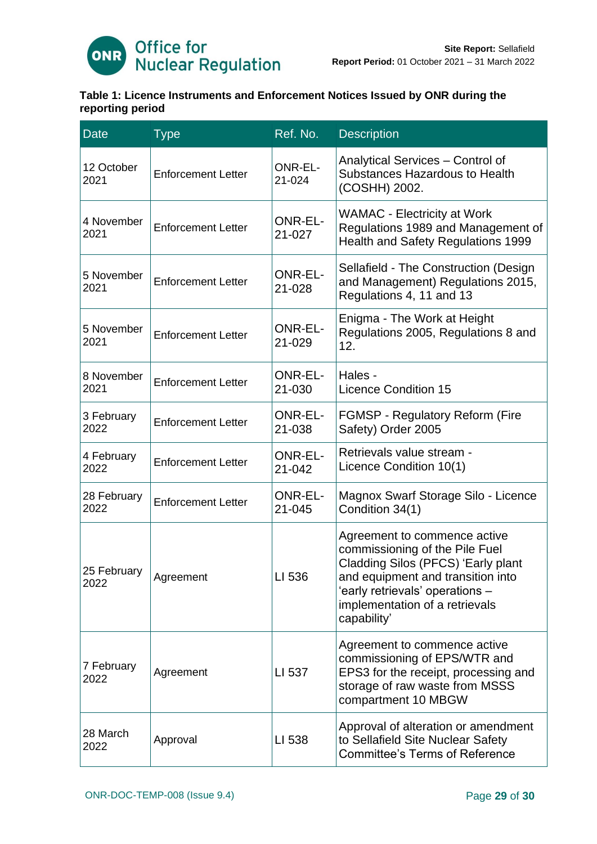

# **Table 1: Licence Instruments and Enforcement Notices Issued by ONR during the reporting period**

| <b>Date</b>         | <b>Type</b>               | Ref. No.                 | <b>Description</b>                                                                                                                                                                                                            |
|---------------------|---------------------------|--------------------------|-------------------------------------------------------------------------------------------------------------------------------------------------------------------------------------------------------------------------------|
| 12 October<br>2021  | <b>Enforcement Letter</b> | <b>ONR-EL-</b><br>21-024 | Analytical Services - Control of<br>Substances Hazardous to Health<br>(COSHH) 2002.                                                                                                                                           |
| 4 November<br>2021  | <b>Enforcement Letter</b> | <b>ONR-EL-</b><br>21-027 | <b>WAMAC</b> - Electricity at Work<br>Regulations 1989 and Management of<br><b>Health and Safety Regulations 1999</b>                                                                                                         |
| 5 November<br>2021  | <b>Enforcement Letter</b> | <b>ONR-EL-</b><br>21-028 | Sellafield - The Construction (Design<br>and Management) Regulations 2015,<br>Regulations 4, 11 and 13                                                                                                                        |
| 5 November<br>2021  | <b>Enforcement Letter</b> | <b>ONR-EL-</b><br>21-029 | Enigma - The Work at Height<br>Regulations 2005, Regulations 8 and<br>12.                                                                                                                                                     |
| 8 November<br>2021  | <b>Enforcement Letter</b> | <b>ONR-EL-</b><br>21-030 | Hales -<br><b>Licence Condition 15</b>                                                                                                                                                                                        |
| 3 February<br>2022  | <b>Enforcement Letter</b> | <b>ONR-EL-</b><br>21-038 | FGMSP - Regulatory Reform (Fire<br>Safety) Order 2005                                                                                                                                                                         |
| 4 February<br>2022  | <b>Enforcement Letter</b> | <b>ONR-EL-</b><br>21-042 | Retrievals value stream -<br>Licence Condition 10(1)                                                                                                                                                                          |
| 28 February<br>2022 | <b>Enforcement Letter</b> | <b>ONR-EL-</b><br>21-045 | Magnox Swarf Storage Silo - Licence<br>Condition 34(1)                                                                                                                                                                        |
| 25 February<br>2022 | Agreement                 | LI 536                   | Agreement to commence active<br>commissioning of the Pile Fuel<br>Cladding Silos (PFCS) 'Early plant<br>and equipment and transition into<br>'early retrievals' operations -<br>implementation of a retrievals<br>capability' |
| 7 February<br>2022  | Agreement                 | LI 537                   | Agreement to commence active<br>commissioning of EPS/WTR and<br>EPS3 for the receipt, processing and<br>storage of raw waste from MSSS<br>compartment 10 MBGW                                                                 |
| 28 March<br>2022    | Approval                  | LI 538                   | Approval of alteration or amendment<br>to Sellafield Site Nuclear Safety<br><b>Committee's Terms of Reference</b>                                                                                                             |